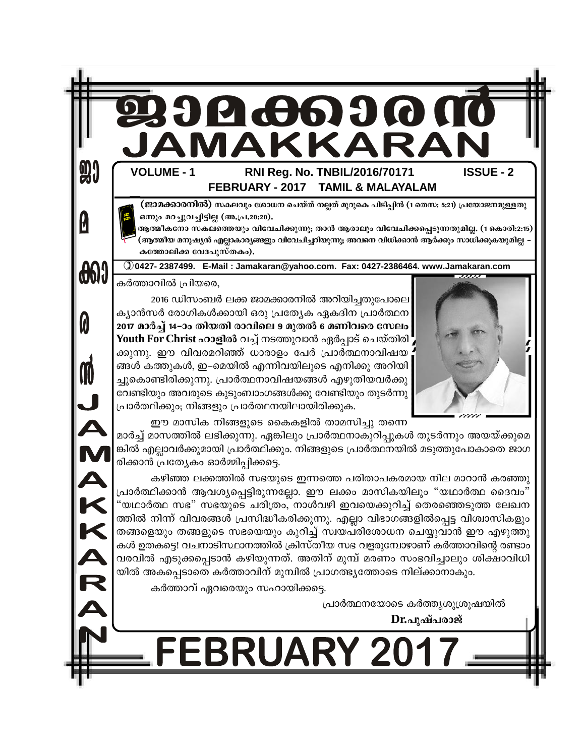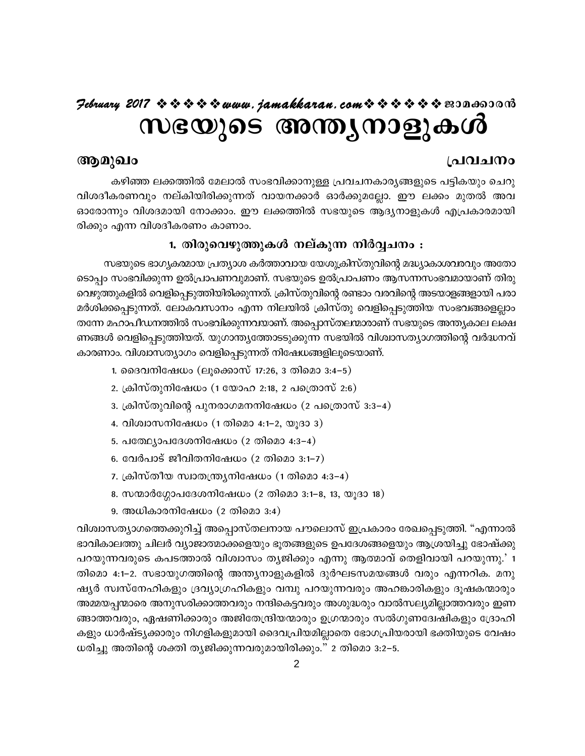## Hebruary 2017  $\rightsquigarrow \rightsquigarrow \rightsquigarrow \rightsquigarrow$  www.jamakkaran.com  $\rightsquigarrow \rightsquigarrow \rightsquigarrow \rightsquigarrow \rightsquigarrow$  senderong

# സഭയുടെ അന്ത്യനാളുകൾ

### പ്രവചനം

## ആമുഖം

കഴിഞ്ഞ ലക്കത്തിൽ മേലാൽ സംഭവിക്കാനുള്ള പ്രവചനകാര്യങ്ങളുടെ പട്ടികയും ചെറു വിശദീകരണവും നല്കിയിരിക്കുന്നത് വായനക്കാർ ഓർക്കുമല്ലോ. ഈ ലക്കം മുതൽ അവ ഓരോന്നും വിശദമായി നോക്കാം. ഈ ലക്കത്തിൽ സഭയുടെ ആദ്യനാളുകൾ എപ്രകാരമായി രിക്കും എന്ന വിശദീകരണം കാണാം.

#### 1. തിരുവെഴുത്തുകൾ നല്കുന്ന നിർവ്വചനം :

സഭയുടെ ഭാഗൃകരമായ പ്രത്യാശ കർത്താവായ യേശുക്രിസ്തുവിന്റെ മദ്ധ്യാകാശവരവും അതോ ടൊപ്പം സംഭവിക്കുന്ന ഉൽപ്രാപണവുമാണ്. സഭയുടെ ഉൽപ്രാപണം ആസന്നസംഭവമായാണ് തിരു വെഴുത്തുകളിൽ വെളിപ്പെടുത്തിയിരിക്കുന്നത്. ക്രിസ്തുവിന്റെ രണ്ടാം വരവിന്റെ അടയാളങ്ങളായി പരാ മർശിക്കപ്പെടുന്നത്. ലോകവസാനം എന്ന നിലയിൽ ക്രിസ്തു വെളിപ്പെടുത്തിയ സംഭവങ്ങളെല്ലാം തന്നേ മഹാപീഡനത്തിൽ സംഭവിക്കുന്നവയാണ്. അപ്പൊസ്തലന്മാരാണ് സഭയുടെ അന്ത്യകാല ലക്ഷ ണങ്ങൾ വെളിപ്പെടുത്തിയത്. യുഗാന്ത്യത്തോടടുക്കുന്ന സഭയിൽ വിശ്വാസത്യാഗത്തിന്റെ വർദ്ധനവ് കാരണാം. വിശ്വാസത്യാഗം വെളിപ്പെടുന്നത് നിഷേധങ്ങളിലൂടെയാണ്.

- 1. ദൈവനിഷേധം (ലൂക്കൊസ് 17:26, 3 തിമൊ 3:4–5)
- 2. ക്രിസ്തുനിഷേധം (1 യോഹ 2:18, 2 പത്രൊസ് 2:6)
- 3. ക്രിസ്തുവിന്റെ പുനരാഗമനനിഷേധം (2 പത്രൊസ് 3:3–4)
- 4. വിശ്വാസനിഷേധം (1 തിമൊ 4:1–2, യൂദാ 3)
- 5. പത്ഥ്യോപദേശനിഷേധം (2 തിമൊ 4:3-4)
- 6. വേർപാട് ജീവിതനിഷേധം (2 തിമൊ 3:1–7)
- 7. ക്രിസ്തീയ സ്വാതന്ത്ര്യനിഷേധം (1 തിമൊ 4:3–4)
- 8. സന്മാർഗ്ഗോപദേശനിഷേധം (2 തിമൊ 3:1-8, 13, യൂദാ 18)
- 9. അധികാരനിഷേധം  $(2 \text{ } \text{ } 000033:4)$

വിശ്വാസത്യാഗത്തെക്കുറിച്ച് അപ്പൊസ്തലനായ പൗലൊസ് ഇപ്രകാരം രേഖപ്പെടുത്തി. "എന്നാൽ ഭാവികാലത്തു ചിലർ വ്യാജാത്മാക്കളെയും ഭൂതങ്ങളുടെ ഉപദേശങ്ങളെയും ആശ്രയിച്ചു ഭോഷ്ക്കു പറയുന്നവരുടെ കപടത്താൽ വിശ്വാസം തൃജിക്കും എന്നു ആത്മാവ് തെളിവായി പറയുന്നു.' 1 തിമൊ 4:1–2. സഭായുഗത്തിന്റെ അന്ത്യനാളുകളിൽ ദുർഘടസമയങ്ങൾ വരും എന്നറിക. മനു ഷ്യർ സ്വസ്നേഹികളും ദ്രവ്യാഗ്രഹികളും വമ്പു പറയുന്നവരും അഹങ്കാരികളും ദൂഷകന്മാരും അമ്മയപ്പന്മാരെ അനുസരിക്കാത്തവരും നന്ദികെട്ടവരും അശുദ്ധരും വാൽസല്യമില്ലാത്തവരും ഇണ ങ്ങാത്തവരും, ഏഷണിക്കാരും അജിതേന്ദ്രിയന്മാരും ഉഗ്രന്മാരും സൽഗുണദ്വേഷികളും ദ്രോഹി കളും ധാർഷ്ട്യക്കാരും നിഗളികളുമായി ദൈവപ്രിയമില്ലാതെ ഭോഗപ്രിയരായി ഭക്തിയുടെ വേഷം ധരിച്ചു അതിന്റെ ശക്തി തൃജിക്കുന്നവരുമായിരിക്കും." 2 തിമൊ 3:2–5.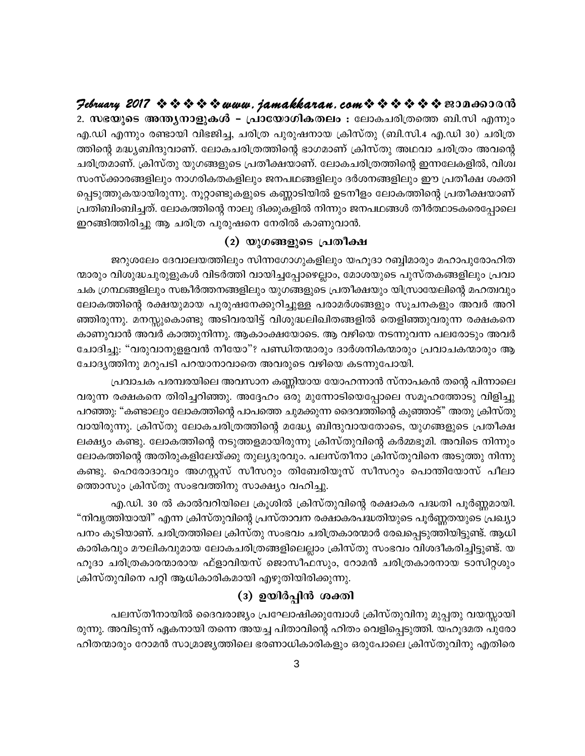2. സഭയുടെ അന്ത്യനാളുകൾ – പ്രായോഗികതലം : ലോകചരിത്രത്തെ ബി.സി എന്നും എ.ഡി എന്നും രണ്ടായി വിഭജിച്ച, ചരിത്ര പുരുഷനായ ക്രിസ്തു (ബി.സി.4 എ.ഡി 30) ചരിത്ര ത്തിന്റെ മദ്ധ്യബിന്ദുവാണ്. ലോകചരിത്രത്തിന്റെ ഭാഗമാണ് ക്രിസ്തു അഥവാ ചരിത്രം അവന്റെ ചരിത്രമാണ്. ക്രിസ്തു യുഗങ്ങളുടെ പ്രതീക്ഷയാണ്. ലോകചരിത്രത്തിന്റെ ഇന്നലേകളിൽ, വിശ്വ സംസ്ക്കാരങ്ങളിലും നാഗരികതകളിലും ജനപഥങ്ങളിലും ദർശനങ്ങളിലും ഈ പ്രതീക്ഷ ശക്തി പ്പെടുത്തുകയായിരുന്നു. നൂറ്റാണ്ടുകളുടെ കണ്ണാടിയിൽ ഉടനീളം ലോകത്തിന്റെ പ്രതീക്ഷയാണ് പ്രതിബിംബിച്ചത്. ലോകത്തിന്റെ നാലു ദിക്കുകളിൽ നിന്നും ജനപഥങ്ങൾ തീർത്ഥാടകരെപ്പോലെ ഇറങ്ങിത്തിരിച്ചു ആ ചരിത്ര പുരുഷനെ നേരിൽ കാണുവാൻ.

#### (2) യുഗങ്ങളുടെ പ്രതീക്ഷ

ജറുശലേം ദേവാലയത്തിലും സിന്നഗോഗുകളിലും യഹൂദാ റബ്ബിമാരും മഹാപുരോഹിത ന്മാരും വിശുദ്ധചുരുളുകൾ വിടർത്തി വായിച്ചപ്പോഴെല്ലാം, മോശയുടെ പുസ്തകങ്ങളിലും പ്രവാ ചക ഗ്രന്ഥങ്ങളിലും സങ്കീർത്തനങ്ങളിലും യുഗങ്ങളുടെ പ്രതീക്ഷയും യിസ്രായേലിന്റെ മഹത്വവും ലോകത്തിന്റെ രക്ഷയുമായ പുരുഷനേക്കുറിച്ചുള്ള പരാമർശങ്ങളും സൂചനകളും അവർ അറി ഞ്ഞിരുന്നു. മനസ്സുകൊണ്ടു അടിവരയിട്ട് വിശുദ്ധലിഖിതങ്ങളിൽ തെളിഞ്ഞുവരുന്ന രക്ഷകനെ കാണുവാൻ അവർ കാത്തുനിന്നു. ആകാംക്ഷയോടെ. ആ വഴിയെ നടന്നുവന്ന പലരോടും അവർ ചോദിച്ചു: "വരുവാനുള്ളവൻ നീയോ"? പണ്ഡിതന്മാരും ദാർശനികന്മാരും പ്രവാചകന്മാരും ആ ചോദ്യത്തിനു മറുപടി പറയാനാവാതെ അവരുടെ വഴിയെ കടന്നുപോയി.

പ്രവാചക പരമ്പരയിലെ അവസാന കണ്ണിയായ യോഹന്നാൻ സ്നാപകൻ തന്റെ പിന്നാലെ വരുന്ന രക്ഷകനെ തിരിച്ചറിഞ്ഞു. അദ്ദേഹം ഒരു മുന്നോടിയെപ്പോലെ സമൂഹത്തോടു വിളിച്ചു പറഞ്ഞു: "കണ്ടാലും ലോകത്തിന്റെ പാപത്തെ ചുമക്കുന്ന ദൈവത്തിന്റെ കുഞ്ഞാട്" അതു ക്രിസ്തു വായിരുന്നു. ക്രിസ്തു ലോകചരിത്രത്തിന്റെ മദ്ധ്യേ ബിന്ദുവായതോടെ, യുഗങ്ങളുടെ പ്രതീക്ഷ ലക്ഷ്യം കണ്ടു. ലോകത്തിന്റെ നടുത്തളമായിരുന്നു ക്രിസ്തുവിന്റെ കർമ്മഭൂമി. അവിടെ നിന്നും ലോകത്തിന്റെ അതിരുകളിലേയ്ക്കു തുല്യദൂരവും. പലസ്തീനാ ക്രിസ്തുവിനെ അടുത്തു നിന്നു കണ്ടു. ഹെരോദാവും അഗസ്റ്റസ് സീസറും തിബേരിയൂസ് സീസറും പൊന്തിയോസ് പീലാ ത്തൊസും ക്രിസ്തു സംഭവത്തിനു സാക്ഷ്യം വഹിച്ചു.

എ.ഡി. 30 ൽ കാൽവറിയിലെ ക്രൂശിൽ ക്രിസ്തുവിന്റെ രക്ഷാകര പദ്ധതി പൂർണ്ണമായി. "നിവൃത്തിയായി" എന്ന ക്രിസ്തുവിന്റെ പ്രസ്താവന രക്ഷാകരപദ്ധതിയുടെ പൂർണ്ണതയുടെ പ്രഖ്യാ പനം കൂടിയാണ്. ചരിത്രത്തിലെ ക്രിസ്തു സംഭവം ചരിത്രകാരന്മാർ രേഖപ്പെടുത്തിയിട്ടുണ്ട്. ആധി കാരികവും മൗലികവുമായ ലോകചരിത്രങ്ങളിലെല്ലാം ക്രിസ്തു സംഭവം വിശദീകരിച്ചിട്ടുണ്ട്. യ ഹൂദാ ചരിത്രകാരന്മാരായ ഫ്ളാവിയസ് ജൊസീഫസും, റോമൻ ചരിത്രകാരനായ ടാസിറ്റശും ക്രിസ്തുവിനെ പറ്റി ആധികാരികമായി എഴുതിയിരിക്കുന്നു.

#### $(3)$  ഉയിർപ്പിൻ ശക്തി

പലസ്തീനായിൽ ദൈവരാജ്യം പ്രഘോഷിക്കുമ്പോൾ ക്രിസ്തുവിനു മുപ്പതു വയസ്സായി രുന്നു. അവിടുന്ന് ഏകനായി തന്നെ അയച്ച പിതാവിന്റെ ഹിതം വെളിപ്പെടുത്തി. യഹൂദമത പുരോ ഹിതന്മാരും റോമൻ സാമ്രാജ്യത്തിലെ ഭരണാധികാരികളും ഒരുപോലെ ക്രിസ്തുവിനു എതിരെ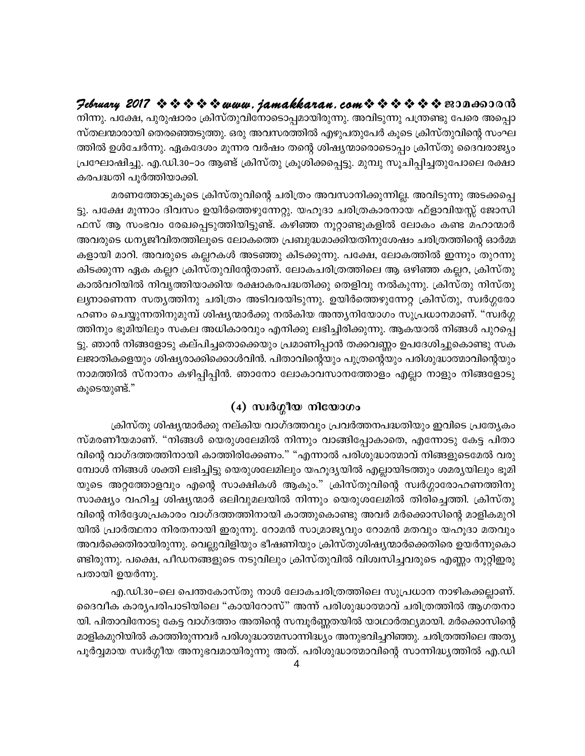$\mathcal{P}$ ebruary 2017  $\rightsquigarrow \rightsquigarrow \rightsquigarrow \rightsquigarrow www.$  jamakkaran.com $\rightsquigarrow \rightsquigarrow \rightsquigarrow \rightsquigarrow \rightsquigarrow \rightsquigarrow \text{exon}$ നിന്നു. പക്ഷേ, പുരുഷാരം ക്രിസ്തുവിനോടൊപ്പമായിരുന്നു. അവിടുന്നു പന്ത്രണ്ടു പേരെ അപ്പൊ സ്തലന്മാരായി തെരഞ്ഞെടുത്തു. ഒരു അവസരത്തിൽ എഴുപതുപേർ കൂടെ ക്രിസ്തുവിന്റെ സംഘ ത്തിൽ ഉൾചേർന്നു. ഏകദേശം മൂന്നര വർഷം തന്റെ ശിഷ്യന്മാരൊടൊപ്പം ക്രിസ്തു ദൈവരാജ്യം പ്രഘോഷിച്ചു. എ.ഡി.30–ാം ആണ്ട് ക്രിസ്തു ക്രൂശിക്കപ്പെട്ടു. മുമ്പു സൂചിപ്പിച്ചതുപോലെ രക്ഷാ കരപദ്ധതി പൂർത്തിയാക്കി.

മരണത്തേങ്കൂടെ ക്രിസ്തുവിന്റെ ചരിത്രം അവസാനിക്കുന്നില്ല. അവിടുന്നു അടക്കപ്പെ ട്ടു. പക്ഷേ മൂന്നാം ദിവസം ഉയിർത്തെഴുന്നേറ്റു. യഹൂദാ ചരിത്രകാരനായ ഫ്ളാവിയസ്സ് ജോസി ഫസ് ആ സംഭവം രേഖപ്പെടുത്തിയിട്ടുണ്ട്. കഴിഞ്ഞ നൂറ്റാണ്ടുകളിൽ ലോകം കണ്ട മഹാന്മാർ അവരുടെ ധന്യജീവിതത്തിലൂടെ ലോകത്തെ പ്രബുദ്ധമാക്കിയതിനുശേഷം ചരിത്രത്തിന്റെ ഓർമ്മ കളായി മാറി. അവരുടെ കല്ലറകൾ അടഞ്ഞു കിടക്കുന്നു. പക്ഷേ, ലോകത്തിൽ ഇന്നും തുറന്നു കിടക്കുന്ന ഏക കല്ലറ ക്രിസ്തുവിന്റേതാണ്. ലോകചരിത്രത്തിലെ ആ ഒഴിഞ്ഞ കല്ലറ, ക്രിസ്തു കാൽവറിയിൽ നിവൃത്തിയാക്കിയ രക്ഷാകരപദ്ധതിക്കു തെളിവു നൽകുന്നു. ക്രിസ്തു നിസ്തു ലൃനാണെന്ന സതൃത്തിനു ചരിത്രം അടിവരയിടുന്നു. ഉയിർത്തെഴുന്നേറ്റ ക്രിസ്തു, സ്വർഗ്ഗരോ ഹണം ചെയ്യുന്നതിനുമുമ്പ് ശിഷ്യന്മാർക്കു നൽകിയ അന്ത്യനിയോഗം സുപ്രധാനമാണ്. "സ്വർഗ്ഗ ത്തിനും ഭൂമിയിലും സകല അധികാരവും എനിക്കു ലഭിച്ചിരിക്കുന്നു. ആകയാൽ നിങ്ങൾ പുറപ്പെ ട്ടു. ഞാൻ നിങ്ങളോടു കല്പിച്ചതൊക്കെയും പ്രമാണിപ്പാൻ തക്കവണ്ണം ഉപദേശിച്ചുകൊണ്ടു സക ലജാതികളെയും ശിഷ്യരാക്കിക്കൊൾവിൻ. പിതാവിന്റെയും പുത്രന്റെയും പരിശുദ്ധാത്മാവിന്റെയും നാമത്തിൽ സ്നാനം കഴിപ്പിപ്പിൻ. ഞാനോ ലോകാവസാനത്തോളം എല്ലാ നാളും നിങ്ങളോടു കൂടെയുണ്ട്."

#### $(4)$  സ്വർഗ്ഗീയ നിയോഗം

ക്രിസ്തു ശിഷ്യന്മാർക്കു നല്കിയ വാഗ്ദത്തവും പ്രവർത്തനപദ്ധതിയും ഇവിടെ പ്രത്യേകം സ്മരണീയമാണ്. "നിങ്ങൾ യെരുശലേമിൽ നിന്നും വാങ്ങിപ്പോകാതെ, എന്നോടു കേട്ട പിതാ വിന്റെ വാഗ്ദത്തത്തിനായി കാത്തിരിക്കേണം." "എന്നാൽ പരിശുദ്ധാത്മാവ് നിങ്ങളുടെമേൽ വരു മ്പോൾ നിങ്ങൾ ശക്തി ലഭിച്ചിട്ടു യെരുശലേമിലും യഹൂദ്യയിൽ എല്ലായിടത്തും ശമര്യയിലും ഭൂമി യുടെ അറ്റത്തോളവും എന്റെ സാക്ഷികൾ ആകും." ക്രിസ്തുവിന്റെ സ്വർഗ്ഗാരോഹണത്തിനു സാക്ഷ്യം വഹിച്ച ശിഷ്യന്മാർ ഒലിവുമലയിൽ നിന്നും യെരുശലേമിൽ തിരിച്ചെത്തി. ക്രിസ്തു വിന്റെ നിർദ്ദേശപ്രകാരം വാഗ്ദത്തത്തിനായി കാത്തുകൊണ്ടു അവർ മർക്കൊസിന്റെ മാളികമുറി യിൽ പ്രാർത്ഥനാ നിരതനായി ഇരുന്നു. റോമൻ സാമ്രാജ്യവും റോമൻ മതവും യഹൂദാ മതവും അവർക്കെതിരായിരുന്നു. വെല്ലുവിളിയും ഭീഷണിയും ക്രിസ്തുശിഷ്യന്മാർക്കെതിരെ ഉയർന്നുകൊ ണ്ടിരുന്നു. പക്ഷെ, പീഡനങ്ങളുടെ നടുവിലും ക്രിസ്തുവിൽ വിശ്വസിച്ചവരുടെ എണ്ണം നൂറ്റിഇരു പതായി ഉയർന്നു.

എ.ഡി.30–ലെ പെന്തകോസ്തു നാൾ ലോകചരിത്രത്തിലെ സുപ്രധാന നാഴികക്കല്ലാണ്. ദൈവീക കാര്യപരിപാടിയിലെ "കായിറോസ്" അന്ന് പരിശുദ്ധാത്മാവ് ചരിത്രത്തിൽ ആഗതനാ യി. പിതാവിനോടു കേട്ട വാഗ്ദത്തം അതിന്റെ സമ്പൂർണ്ണതയിൽ യാഥാർത്ഥ്യമായി. മർക്കൊസിന്റെ മാളികമുറിയിൽ കാത്തിരുന്നവർ പരിശുദ്ധാത്മസാന്നിദ്ധ്യം അനുഭവിച്ചറിഞ്ഞു. ചരിത്രത്തിലെ അത്യ പൂർവ്വമായ സ്വർഗ്ഗീയ അനുഭവമായിരുന്നു അത്. പരിശുദ്ധാത്മാവിന്റെ സാന്നിദ്ധ്യത്തിൽ എ.ഡി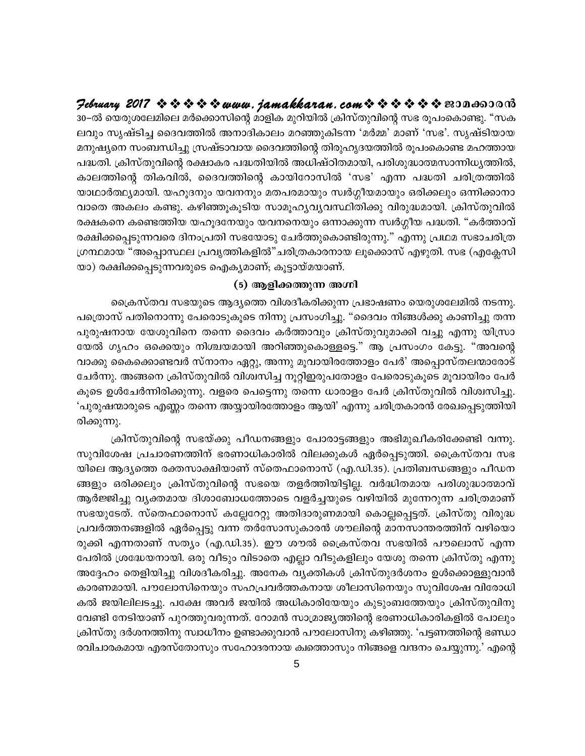Hebruary 2017  $\rightsquigarrow \rightsquigarrow \rightsquigarrow \rightsquigarrow$  www.jamakkaran.com  $\rightsquigarrow \rightsquigarrow \rightsquigarrow \rightsquigarrow \rightsquigarrow$  sepands and 30−ൽ യെരുശലേമിലെ മർക്കൊസിന്റെ മാളിക മുറിയിൽ ക്രിസ്തുവിന്റെ സഭ രൂപംകൊണ്ടു. "സക ലവും സൃഷ്ടിച്ച ദൈവത്തിൽ അനാദികാലം മറഞ്ഞുകിടന്ന 'മർമ്മ' മാണ് 'സഭ'. സൃഷ്ടിയായ മനുഷ്യനെ സംബന്ധിച്ചു സ്രഷ്ടാവായ ദൈവത്തിന്റെ തിരുഹൃദയത്തിൽ രൂപംകൊണ്ട മഹത്തായ പദ്ധതി. ക്രിസ്തുവിന്റെ രക്ഷാകര പദ്ധതിയിൽ അധിഷ്ഠിതമായി, പരിശുദ്ധാത്മസാന്നിധൃത്തിൽ, കാലത്തിന്റെ തികവിൽ, ദൈവത്തിന്റെ കായിറോസിൽ 'സഭ' എന്ന പദ്ധതി ചരിത്രത്തിൽ യാഥാർത്ഥ്യമായി. യഹൂദനും യവനനും മതപരമായും സ്വർഗ്ഗീയമായും ഒരിക്കലും ഒന്നിക്കാനാ വാതെ അകലം കണ്ടു. കഴിഞ്ഞൂകൂടിയ സാമൂഹ്യവ്യവസ്ഥിതിക്കു വിരുദ്ധമായി. ക്രിസ്തുവിൽ രക്ഷകനെ കണ്ടെത്തിയ യഹൂദനേയും യവനനെയും ഒന്നാക്കുന്ന സ്വർഗ്ഗീയ പദ്ധതി. "കർത്താവ് രക്ഷിക്കപ്പെടുന്നവരെ ദിനംപ്രതി സഭയോടു ചേർത്തുകൊണ്ടിരുന്നു." എന്നു പ്രഥമ സഭാചരിത്ര ഗ്രന്ഥമായ "അപ്പൊസ്ഥല പ്രവൃത്തികളിൽ"ചരിത്രകാരനായ ലൂക്കൊസ് എഴുതി. സഭ (എക്ലേസി യാ) രക്ഷിക്കപ്പെടുന്നവരുടെ ഐക്യമാണ്; കൂട്ടായ്മയാണ്.

#### (5) ആളിക്കത്തുന്ന അഗ്നി

ക്രൈസ്തവ സഭയുടെ ആദ്യത്തെ വിശദീകരിക്കുന്ന പ്രഭാഷണം യെരുശലേമിൽ നടന്നു. പത്രൊസ് പതിനൊന്നു പേരൊടുകൂടെ നിന്നു പ്രസംഗിച്ചു. "ദൈവം നിങ്ങൾക്കു കാണിച്ചു തന്ന പുരുഷനായ യേശുവിനെ തന്നെ ദൈവം കർത്താവും ക്രിസ്തുവുമാക്കി വച്ചു എന്നു യിസ്രാ യേൽ ഗൃഹം ഒക്കെയും നിശ്ചയമായി അറിഞ്ഞുകൊള്ളട്ടെ." ആ പ്രസംഗം കേട്ടു. "അവന്റെ വാക്കു കൈക്കൊണ്ടവർ സ്നാനം ഏറ്റു, അന്നു മൂവായിരത്തോളം പേർ' അപ്പൊസ്തലന്മാരോട് ചേർന്നു. അങ്ങനെ ക്രിസ്തുവിൽ വിശ്വസിച്ച നൂറ്റിഇരുപതോളം പേരൊടുകൂടെ മൂവായിരം പേർ കൂടെ ഉൾചേർന്നിരിക്കുന്നു. വളരെ പെട്ടെന്നു തന്നെ ധാരാളം പേർ ക്രിസ്തുവിൽ വിശ്വസിച്ചു. 'പുരുഷന്മാരുടെ എണ്ണം തന്നെ അയ്യായിരത്തോളം ആയി' എന്നു ചരിത്രകാരൻ രേഖപ്പെടുത്തിയി രിക്കുന്നു.

ക്രിസ്തുവിന്റെ സഭയ്ക്കു പീഡനങ്ങളും പോരാട്ടങ്ങളും അഭിമുഖീകരിക്കേണ്ടി വന്നു. സുവിശേഷ പ്രചാരണത്തിന് ഭരണാധികാരിൽ വിലക്കുകൾ ഏർപ്പെടുത്തി. ക്രൈസ്തവ സഭ യിലെ ആദ്യത്തെ രക്തസാക്ഷിയാണ് സ്തെഫാനൊസ് (എ.ഡി.35). പ്രതിബന്ധങ്ങളും പീഡന ങ്ങളും ഒരിക്കലും ക്രിസ്തുവിന്റെ സഭയെ തളർത്തിയിട്ടില്ല. വർദ്ധിതമായ പരിശുദ്ധാത്മാവ് ആർജ്ജിച്ചു വ്യക്തമായ ദിശാബോധത്തോടെ വളർച്ചയുടെ വഴിയിൽ മുന്നേറുന്ന ചരിത്രമാണ് സഭയുടേത്. സ്തെഫാനൊസ് കല്ലേറേറ്റു അതിദാരുണമായി കൊല്ലപ്പെട്ടത്. ക്രിസ്തു വിരുദ്ധ പ്രവർത്തനങ്ങളിൽ ഏർപ്പെട്ടു വന്ന തർസോസുകാരൻ ശൗലിന്റെ മാനസാന്തരത്തിന് വഴിയൊ രുക്കി എന്നതാണ് സത്യം (എ.ഡി.35). ഈ ശൗൽ ക്രൈസ്തവ സഭയിൽ പൗലൊസ് എന്ന പേരിൽ ശ്രദ്ധേയനായി. ഒരു വീടും വിടാതെ എല്ലാ വീടുകളിലും യേശു തന്നെ ക്രിസ്തു എന്നു അദ്ദേഹം തെളിയിച്ചു വിശദീകരിച്ചു. അനേക വ്യക്തികൾ ക്രിസ്തുദർശനം ഉൾക്കൊള്ളുവാൻ കാരണമായി. പൗലോസിനെയും സഹപ്രവർത്തകനായ ശീലാസിനെയും സുവിശേഷ വിരോധി കൽ ജയിലിലടച്ചു. പക്ഷേ അവർ ജയിൽ അധികാരിയേയും കുടുംബത്തേയും ക്രിസ്തുവിനു വേണ്ടി നേടിയാണ് പുറത്തുവരുന്നത്. റോമൻ സാമ്രാജ്യത്തിന്റെ ഭരണാധികാരികളിൽ പോലും ക്രിസ്തു ദർശനത്തിനു സ്വാധീനം ഉണ്ടാക്കുവാൻ പൗലോസിനു കഴിഞ്ഞു. 'പട്ടണത്തിന്റെ ഭണ്ഡാ രവിചാരകമായ എരസ്തോസും സഹോദരനായ ക്വത്തൊസും നിങ്ങളെ വന്ദനം ചെയ്യുന്നു.' എന്റെ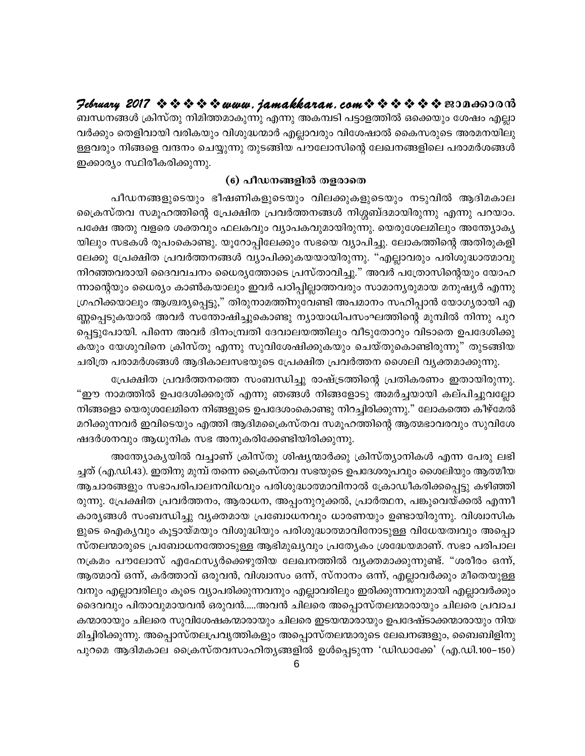Hebruary 2017  $\rightsquigarrow \rightsquigarrow \rightsquigarrow \rightsquigarrow$  www.jamakkaran.com  $\rightsquigarrow \rightsquigarrow \rightsquigarrow \rightsquigarrow \rightsquigarrow$  sepands and

ബന്ധനങ്ങൾ ക്രിസ്തു നിമിത്തമാകുന്നു എന്നു അകമ്പടി പട്ടാളത്തിൽ ഒക്കെയും ശേഷം എല്ലാ വർക്കും തെളിവായി വരികയും വിശുദ്ധന്മാർ എല്ലാവരും വിശേഷാൽ കൈസരുടെ അരമനയിലു ള്ളവരും നിങ്ങളെ വന്ദനം ചെയ്യുന്നു തുടങ്ങിയ പൗലോസിന്റെ ലേഖനങ്ങളിലെ പരാമർശങ്ങൾ ഇക്കാര്യം സ്ഥിരീകരിക്കുന്നു.

#### (6) പീഡനങ്ങളിൽ തളരാതെ

പീഡനങ്ങളുടെയും ഭീഷണികളുടെയും വിലക്കുകളുടെയും നടുവിൽ ആദിമകാല ക്രൈസ്തവ സമൂഹത്തിന്റെ പ്രേക്ഷിത പ്രവർത്തനങ്ങൾ നിശ്ശബ്ദമായിരുന്നു എന്നു പറയാം. പക്ഷേ അതു വളരെ ശക്തവും ഫലകവും വ്യാപകവുമായിരുന്നു. യെരുശേലമിലും അന്ത്യോകൃ യിലും സഭകൾ രൂപംകൊണ്ടു. യൂറോപ്പിലേക്കും സഭയെ വ്യാപിച്ചു. ലോകത്തിന്റെ അതിരുകളി ലേക്കു പ്രേക്ഷിത പ്രവർത്തനങ്ങൾ വ്യാപിക്കുകയയായിരുന്നു. "എല്ലാവരും പരിശുദ്ധാത്മാവു നിറഞ്ഞവരായി ദൈവവചനം ധൈര്യത്തോടെ പ്രസ്താവിച്ചു." അവർ പത്രോസിന്റെയും യോഹ ന്നാന്റെയും ധൈര്യം കാൺകയാലും ഇവർ പഠിപ്പില്ലാത്തവരും സാമാന്യരുമായ മനുഷ്യർ എന്നു ഗ്രഹിക്കയാലും ആശ്ചര്യപ്പെട്ടു," തിരുനാമത്തിനുവേണ്ടി അപമാനം സഹിപ്പാൻ യോഗ്യരായി എ ണ്ണപ്പെടുകയാൽ അവർ സന്തോഷിച്ചുകൊണ്ടു ന്യായാധിപസംഘത്തിന്റെ മുമ്പിൽ നിന്നു പുറ പ്പെട്ടുപോയി. പിന്നെ അവർ ദിനംമ്പ്രതി ദേവാലയത്തിലും വീടുതോറും വിടാതെ ഉപദേശിക്കു കയും യേശുവിനെ ക്രിസ്തു എന്നു സുവിശേഷിക്കുകയും ചെയ്തുകൊണ്ടിരുന്നു" തുടങ്ങിയ ചരിത്ര പരാമർശങ്ങൾ ആദികാലസഭയുടെ പ്രേക്ഷിത പ്രവർത്തന ശൈലി വൃക്തമാക്കുന്നു.

പ്രേക്ഷിത പ്രവർത്തനത്തെ സംബന്ധിച്ചു രാഷ്ട്രത്തിന്റെ പ്രതികരണം ഇതായിരുന്നു. "ഈ നാമത്തിൽ ഉപദേശിക്കരുത് എന്നു ഞങ്ങൾ നിങ്ങളോടു അമർച്ചയായി കല്പിച്ചുവല്ലോ നിങ്ങളൊ യെരുശലേമിനെ നിങ്ങളുടെ ഉപദേശംകൊണ്ടു നിറച്ചിരിക്കുന്നു." ലോകത്തെ കീഴ്മേൽ മറിക്കുന്നവർ ഇവിടെയും എത്തി ആദിമപ്രൈസ്തവ സമൂഹത്തിന്റെ ആത്മഭാവരവും സുവിശേ ഷദർശനവും ആധുനിക സഭ അനുകരിക്കേണ്ടിയിരിക്കുന്നു.

അന്ത്യോക്യയിൽ വച്ചാണ് ക്രിസ്തു ശിഷ്യന്മാർക്കു ക്രിസ്ത്യാനികൾ എന്ന പേരു ലഭി ച്ചത് (എ.ഡി.43). ഇതിനു മുമ്പ് തന്നെ ക്രൈസ്തവ സഭയുടെ ഉപദേശരൂപവും ശൈലിയും ആത്മീയ ആചാരങ്ങളും സഭാപരിപാലനവിധവും പരിശുദ്ധാത്മാവിനാൽ ക്രോഡീകരിക്കപ്പെട്ടു കഴിഞ്ഞി രുന്നു. പ്രേക്ഷിത പ്രവർത്തനം, ആരാധന, അപ്പംനുറുക്കൽ, പ്രാർത്ഥന, പങ്കുവെയ്ക്കൽ എന്നീ കാര്യങ്ങൾ സംബന്ധിച്ചു വ്യക്തമായ പ്രബോധനവും ധാരണയും ഉണ്ടായിരുന്നു. വിശ്വാസിക ളുടെ ഐകൃവും കൂട്ടായ്മയും വിശുദ്ധിയും പരിശുദ്ധാത്മാവിനോടുള്ള വിധേയത്വവും അപ്പൊ സ്തലന്മാരുടെ പ്രബോധനത്തോടുള്ള ആഭിമുഖ്യവും പ്രത്യേകം ശ്രദ്ധേയമാണ്. സഭാ പരിപാല നക്രമം പൗലോസ് എഫേസ്യർക്കെഴുതിയ ലേഖനത്തിൽ വ്യക്തമാക്കുന്നുണ്ട്. "ശരീരം ഒന്ന്, ആത്മാവ് ഒന്ന്, കർത്താവ് ഒരുവൻ, വിശ്വാസം ഒന്ന്, സ്നാനം ഒന്ന്, എല്ലാവർക്കും മീതെയുള്ള വനും എല്ലാവരിലും കൂടെ വ്യാപരിക്കുന്നവനും എല്ലാവരിലും ഇരിക്കുന്നവനുമായി എല്ലാവർക്കും ദൈവവും പിതാവുമായവൻ ഒരുവൻ.....അവൻ ചിലരെ അപ്പൊസ്തലന്മാരായും ചിലരെ പ്രവാച കന്മാരായും ചിലരെ സുവിശേഷകന്മാരായും ചിലരെ ഇടയന്മാരായും ഉപദേഷ്ടാക്കന്മാരായും നിയ മിച്ചിരിക്കുന്നു. അപ്പൊസ്തലപ്രവൃത്തികളും അപ്പൊസ്തലന്മാരുടെ ലേഖനങ്ങളും, ബൈബിളിനു പുറമെ ആദിമകാല ക്രൈസ്തവസാഹിതൃങ്ങളിൽ ഉൾപ്പെടുന്ന 'ഡിഡാക്കേ' (എ.ഡി.100–150)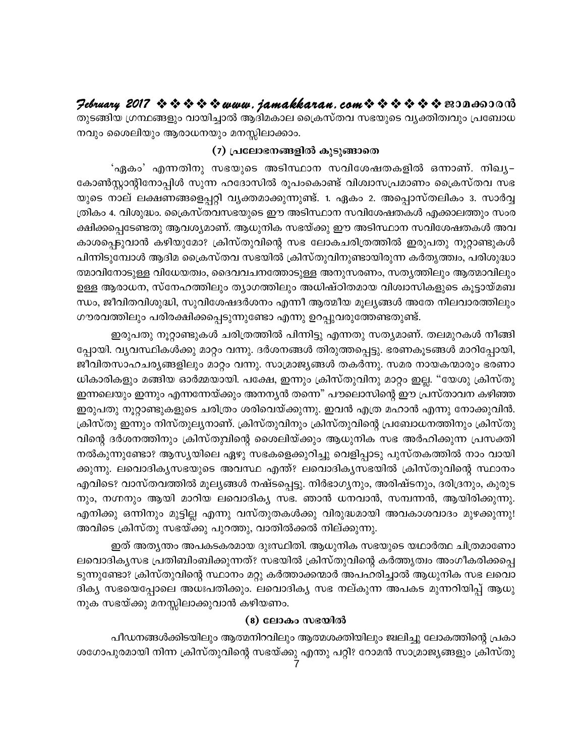## 

തുടങ്ങിയ ഗ്രന്ഥങ്ങളും വായിച്ചാൽ ആദിമകാല ക്രൈസ്തവ സഭയുടെ വൃക്തിത്വവും പ്രബോധ നവും ശൈലിയും ആരാധനയും മനസ്സിലാക്കാം.

#### (7) പ്രലോഭനങ്ങളിൽ കുടുങ്ങാതെ

'ഏകം' എന്നതിനു സഭയുടെ അടിസ്ഥാന സവിശേഷതകളിൽ ഒന്നാണ്. നിഖ്യ– കോൺസ്റ്റാന്റിനോപ്പിൾ സുന്ന ഹദോസിൽ രൂപംകൊണ്ട് വിശ്വാസപ്രമാണം ക്രൈസ്തവ സഭ യുടെ നാല് ലക്ഷണങ്ങളെപ്പറ്റി വ്യക്തമാക്കുന്നുണ്ട്. 1. ഏകം 2. അപ്പൊസ്തലികം 3. സാർവ്വ ത്രികം 4. വിശുദ്ധം. ക്രൈസ്തവസഭയുടെ ഈ അടിസ്ഥാന സവിശേഷതകൾ എക്കാലത്തും സംര ക്ഷിക്കപ്പെടേണ്ടതു ആവശ്യമാണ്. ആധുനിക സഭയ്ക്കു ഈ അടിസ്ഥാന സവിശേഷതകൾ അവ കാശപ്പെടുവാൻ കഴിയുമോ? ക്രിസ്തുവിന്റെ സഭ ലോകചരിത്രത്തിൽ ഇരുപതു നൂറ്റാണ്ടുകൾ പിന്നിടുമ്പോൾ ആദിമ ക്രൈസ്തവ സഭയിൽ ക്രിസ്തുവിനുണ്ടായിരുന്ന കർതൃത്ത്വം, പരിശുദ്ധാ ത്മാവിനോടുള്ള വിധേയത്വം, ദൈവവചനത്തോടുള്ള അനുസരണം, സതൃത്തിലും ആത്മാവിലും ഉള്ള ആരാധന, സ്നേഹത്തിലും തൃാഗത്തിലും അധിഷ്ഠിതമായ വിശ്വാസികളുടെ കൂട്ടായ്മബ ന്ധം, ജീവിതവിശുദ്ധി, സുവിശേഷദർശനം എന്നീ ആത്മീയ മൂല്യങ്ങൾ അതേ നിലവാരത്തിലും ഗൗരവത്തിലും പരിരക്ഷിക്കപ്പെടുന്നുണ്ടോ എന്നു ഉറപ്പുവരുത്തേണ്ടതുണ്ട്.

ഇരുപതു നൂറ്റാണ്ടുകൾ ചരിത്രത്തിൽ പിന്നിട്ടു എന്നതു സത്യമാണ്. തലമുറകൾ നീങ്ങി പ്പോയി. വ്യവസ്ഥികൾക്കു മാറ്റം വന്നു. ദർശനങ്ങൾ തിരുത്തപ്പെട്ടു. ഭരണകൂടങ്ങൾ മാറിപ്പോയി, ജീവിതസാഹചര്യങ്ങളിലും മാറ്റം വന്നു. സാമ്രാജ്യങ്ങൾ തകർന്നു. സമര നായകന്മാരും ഭരണാ ധികാരികളും മങ്ങിയ ഓർമ്മയായി. പക്ഷേ, ഇന്നും ക്രിസ്തുവിനു മാറ്റം ഇല്ല. "യേശു ക്രിസ്തു ഇന്നലെയും ഇന്നും എന്നന്നേയ്ക്കും അനനൃൻ തന്നെ" പൗലൊസിന്റെ ഈ പ്രസ്താവന കഴിഞ്ഞ ഇരുപതു നൂറ്റാണ്ടുകളുടെ ചരിത്രം ശരിവെയ്ക്കുന്നു. ഇവൻ എത്ര മഹാൻ എന്നു നോക്കുവിൻ. ക്രിസ്തു ഇന്നും നിസ്തുലൃനാണ്. ക്രിസ്തുവിനും ക്രിസ്തുവിന്റെ പ്രബോധനത്തിനും ക്രിസ്തു വിന്റെ ദർശനത്തിനും ക്രിസ്തുവിന്റെ ശൈലിയ്ക്കും ആധുനിക സഭ അർഹിക്കുന്ന പ്രസക്തി നൽകുന്നുണ്ടോ? ആസൃയിലെ ഏഴു സഭകളെക്കുറിച്ചു വെളിപ്പാടു പുസ്തകത്തിൽ നാം വായി ക്കുന്നു. ലവൊദികൃസഭയുടെ അവസ്ഥ എന്ത്? ലവൊദികൃസഭയിൽ ക്രിസ്തുവിന്റെ സ്ഥാനം എവിടെ? വാസ്തവത്തിൽ മൂല്യങ്ങൾ നഷ്ടപ്പെട്ടു. നിർഭാഗ്യനും, അരിഷ്ടനും, ദരിദ്രനും, കുരുട നും, നഗ്നനും ആയി മാറിയ ലവൊദിക്യ സഭ. ഞാൻ ധനവാൻ, സമ്പന്നൻ, ആയിരിക്കുന്നു. എനിക്കു ഒന്നിനും മുട്ടില്ല എന്നു വസ്തുതകൾക്കു വിരുദ്ധമായി അവകാശവാദം മുഴക്കുന്നു! അവിടെ ക്രിസ്തു സഭയ്ക്കു പുറത്തു, വാതിൽക്കൽ നില്ക്കുന്നു.

ഇത് അതൃന്തം അപകടകരമായ ദുഃസ്ഥിതി. ആധുനിക സഭയുടെ യഥാർത്ഥ ചിത്രമാണോ ലവൊദികൃസഭ പ്രതിബിംബിക്കുന്നത്? സഭയിൽ ക്രിസ്തുവിന്റെ കർത്തൃത്വം അംഗീകരിക്കപ്പെ ടുന്നുണ്ടോ? ക്രിസ്തുവിന്റെ സ്ഥാനം മറ്റു കർത്താക്കന്മാർ അപഹരിച്ചാൽ ആധുനിക സഭ ലവൊ ദികൃ സഭയെപ്പോലെ അധഃപതിക്കും. ലവൊദികൃ സഭ നല്കുന്ന അപകട മുന്നറിയിപ്പ് ആധു നുക സഭയ്ക്കു മനസ്സിലാക്കുവാൻ കഴിയണം.

#### (8) ലോകം സഭയിൽ

പീഡനങ്ങൾക്കിടയിലും ആത്മനിറവിലും ആത്മശക്തിയിലും ജ്വലിച്ചു ലോകത്തിന്റെ പ്രകാ ശഗോപുരമായി നിന്ന ക്രിസ്തുവിന്റെ സഭയ്ക്കു എന്തു പറ്റി? റോമൻ സാമ്രാജ്യങ്ങളും ക്രിസ്തു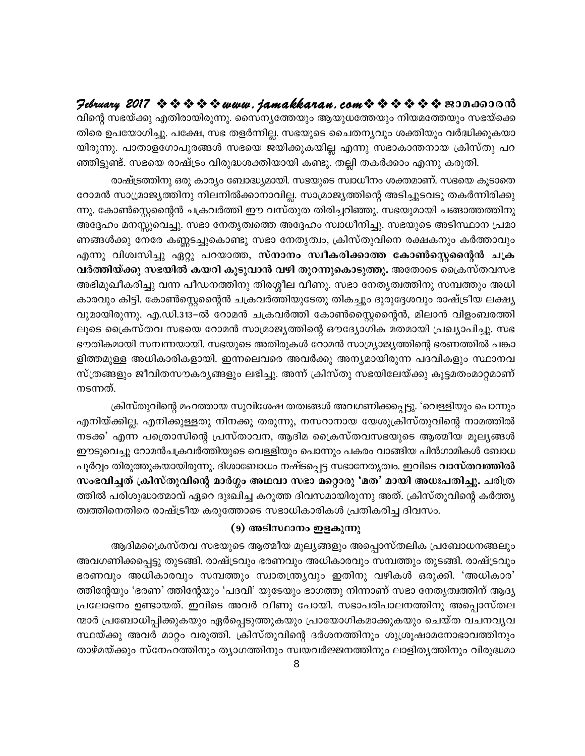$\mathcal{P}$ ebruary 2017  $\rightsquigarrow \rightsquigarrow \rightsquigarrow \rightsquigarrow$  www.jamakkaran.com $\rightsquigarrow \rightsquigarrow \rightsquigarrow \rightsquigarrow \rightsquigarrow$  2010 വിന്റെ സഭയ്ക്കു എതിരായിരുന്നു. സൈന്യത്തേയും ആയുധത്തേയും നിയമത്തേയും സഭയ്ക്കെ തിരെ ഉപയോഗിച്ചു. പക്ഷേ, സഭ തളർന്നില്ല. സഭയുടെ ചൈതനൃവും ശക്തിയും വർദ്ധിക്കുകയാ യിരുന്നു. പാതാളഗോപുരങ്ങൾ സഭയെ ജയിക്കുകയില്ല എന്നു സഭാകാന്തനായ ക്രിസ്തു പറ ഞ്ഞിട്ടുണ്ട്. സഭയെ രാഷ്ട്രം വിരുദ്ധശക്തിയായി കണ്ടു. തല്ലി തകർക്കാം എന്നു കരുതി.

രാഷ്ട്രത്തിനു ഒരു കാര്യം ബോദ്ധ്യമായി. സഭയുടെ സ്വാധീനം ശക്തമാണ്. സഭയെ കൂടാതെ റോമൻ സാമ്രാജ്യത്തിനു നിലനിൽക്കാനാവില്ല. സാമ്രാജ്യത്തിന്റെ അടിച്ചുടവടു തകർന്നിരിക്കു ന്നു. കോൺസ്റ്റെന്റൈൻ ചക്രവർത്തി ഈ വസ്തുത തിരിച്ചറിഞ്ഞു. സഭയുമായി ചങ്ങാത്തത്തിനു അദ്ദേഹം മനസ്സുവെച്ചു. സഭാ നേതൃത്വത്തെ അദ്ദേഹം സ്വാധീനിച്ചു. സഭയുടെ അടിസ്ഥാന പ്രമാ ണങ്ങൾക്കു നേരേ കണ്ണടച്ചുകൊണ്ടു സഭാ നേതൃത്വം, ക്രിസ്തുവിനെ രക്ഷകനും കർത്താവും എന്നു വിശ്വസിച്ചു ഏറ്റു പറയാത്ത, സ്നാനം സ്ഥീകരിക്കാത്ത കോൺസ്റ്റെന്റൈൻ ചക്ര വർത്തിയ്ക്കു സഭയിൽ കയറി കൂടുവാൻ വഴി തുറന്നുകൊടുത്തു. അതോടെ ക്രൈസ്തവസഭ അഭിമുഖീകരിച്ചു വന്ന പീഡനത്തിനു തിരശ്ശീല വീണു. സഭാ നേതൃത്വത്തിനു സമ്പത്തും അധി കാരവും കിട്ടി. കോൺസ്റ്റെന്റൈൻ ചക്രവർത്തിയുടേതു തികച്ചും ദുരുദ്ദേശവും രാഷ്ട്രീയ ലക്ഷ്യ വുമായിരുന്നു. എ.ഡി.313–ൽ റോമൻ ചക്രവർത്തി കോൺസ്റ്റൈന്റെൻ, മിലാൻ വിളംബരത്തി ലൂടെ ക്രൈസ്തവ സഭയെ റോമൻ സാമ്രാജ്യത്തിന്റെ ഔദ്യോഗിക മതമായി പ്രഖ്യാപിച്ചു. സഭ ഭൗതികമായി സമ്പന്നയായി. സഭയുടെ അതിരുകൾ റോമൻ സാമ്ര്യാജ്യത്തിന്റെ ഭരണത്തിൽ പങ്കാ ളിത്തമുള്ള അധികാരികളായി. ഇന്നലെവരെ അവർക്കു അന്യമായിരുന്ന പദവികളും സ്ഥാനവ സ്ത്രങ്ങളും ജീവിതസൗകര്യങ്ങളും ലഭിച്ചു. അന്ന് ക്രിസ്തു സഭയിലേയ്ക്കു കൂട്ടമതംമാറ്റമാണ് നടന്നത്.

ക്രിസ്തുവിന്റെ മഹത്തായ സുവിശേഷ തത്വങ്ങൾ അവഗണിക്കപ്പെട്ടു. 'വെള്ളിയും പൊന്നും എനിയ്ക്കില്ല. എനിക്കുള്ളതു നിനക്കു തരുന്നു, നസറാനായ യേശുക്രിസ്തുവിന്റെ നാമത്തിൽ നടക്ക' എന്ന പത്രൊസിന്റെ പ്രസ്താവന, ആദിമ ക്രൈസ്തവസഭയുടെ ആത്മീയ മൂല്യങ്ങൾ ഈടുവെച്ചു റോമൻചക്രവർത്തിയുടെ വെള്ളിയും പൊന്നും പകരം വാങ്ങിയ പിൻഗാമികൾ ബോധ പൂർവ്വം തിരുത്തുകയായിരുന്നു. ദിശാബോധം നഷ്ടപ്പെട്ട സഭാനേതൃത്വം. ഇവിടെ **വാസ്തവത്തിൽ** സംഭവിച്ചത് ക്രിസ്തുവിന്റെ മാർഗ്ഗം അഥവാ സഭാ മറ്റൊരു 'മത' മായി അധഃപതിച്ചു. ചരിത്ര ത്തിൽ പരിശുദ്ധാത്മാവ് ഏറെ ദുഃഖിച്ച കറുത്ത ദിവസമായിരുന്നു അത്. ക്രിസ്തുവിന്റെ കർത്തൃ ത്വത്തിനെതിരെ രാഷ്ട്രീയ കരുത്തോടെ സഭാധികാരികൾ പ്രതികരിച്ച ദിവസം.

#### (9) അടിസ്ഥാനം ഇളകുന്നു

ആദിമപ്രൈസ്തവ സഭയുടെ ആത്മീയ മൂല്യങ്ങളും അപ്പൊസ്തലിക പ്രബോധനങ്ങലും അവഗണിക്കപ്പെട്ടു തുടങ്ങി. രാഷ്ട്രവും ഭരണവും അധികാരവും സമ്പത്തും തുടങ്ങി. രാഷ്ട്രവും ഭരണവും അധികാരവും സമ്പത്തും സ്വാതന്ത്ര്യവും ഇതിനു വഴികൾ ഒരുക്കി. 'അധികാര' ത്തിന്റേയും 'ഭരണ' ത്തിന്റേയും 'പദവി' യുടേയും ഭാഗത്തു നിന്നാണ് സഭാ നേതൃത്വത്തിന് ആദ്യ പ്രലോഭനം ഉണ്ടായത്. ഇവിടെ അവർ വീണു പോയി. സഭാപരിപാലനത്തിനു അപ്പൊസ്തല ന്മാർ പ്രബോധിപ്പിക്കുകയും ഏർപ്പെടുത്തുകയും പ്രായോഗികമാക്കുകയും ചെയ്ത വചനവൃവ സ്ഥയ്ക്കു അവർ മാറ്റം വരുത്തി. ക്രിസ്തുവിന്റെ ദർശനത്തിനും ശുശ്രൂഷാമനോഭാവത്തിനും താഴ്മയ്ക്കും സ്നേഹത്തിനും ത്യാഗത്തിനും സ്വയവർജ്ജനത്തിനും ലാളിതൃത്തിനും വിരുദ്ധമാ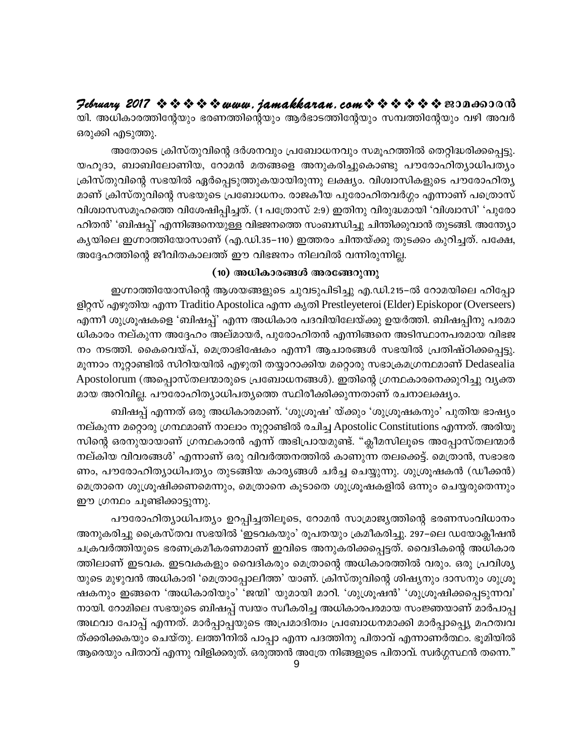February 2017  $\rightsquigarrow \rightsquigarrow \rightsquigarrow \rightsquigarrow www.$  jamakkaran. com $\rightsquigarrow \rightsquigarrow \rightsquigarrow \rightsquigarrow \rightsquigarrow \rightsquigarrow \text{exp}$ യി. അധികാരത്തിന്റേയും ഭരണത്തിന്റെയും ആർഭാടത്തിന്റേയും സമ്പത്തിന്റേയും വഴി അവർ ഒരുക്കി എടുത്തു.

അതോടെ ക്രിസ്തുവിന്റെ ദർശനവും പ്രബോധനവും സമൂഹത്തിൽ തെറ്റിദ്ധരിക്കപ്പെട്ടു. യഹൂദാ, ബാബിലോണിയ, റോമൻ മതങ്ങളെ അനുകരിച്ചുകൊണ്ടു പൗരോഹിത്യാധിപത്യം ക്രിസ്തുവിന്റെ സഭയിൽ ഏർപ്പെടുത്തുകയായിരുന്നു ലക്ഷ്യം. വിശ്വാസികളുടെ പൗരോഹിത്യ മാണ് ക്രിസ്തുവിന്റെ സഭയുടെ പ്രബോധനം. രാജകീയ പുരോഹിതവർഗ്ഗം എന്നാണ് പത്രൊസ് വിശ്വാസസമൂഹത്തെ വിശേഷിപ്പിച്ചത്. (1 പത്രോസ് 2:9) ഇതിനു വിരുദ്ധമായി 'വിശ്വാസി' 'പുരോ ഹിതൻ' 'ബിഷപ്പ്' എന്നിങ്ങനെയുള്ള വിഭജനത്തെ സംബന്ധിച്ചു ചിന്തിക്കുവാൻ തുടങ്ങി. അന്ത്യോ കൃയിലെ ഇഗ്നാത്തിയോസാണ് (എ.ഡി.35–110) ഇത്തരം ചിന്തയ്ക്കു തുടക്കം കുറിച്ചത്. പക്ഷേ, അദ്ദേഹത്തിന്റെ ജീവിതകാലത്ത് ഈ വിഭജനം നിലവിൽ വന്നിരുന്നില്ല.

#### (10) അധികാരങ്ങൾ അരങ്ങേറുന്നു

ഇഗ്നാത്തിയോസിന്റെ ആശയങ്ങളുടെ ചുവടുപിടിച്ചു എ.ഡി.215–ൽ റോമയിലെ ഹിപ്പോ ളിറ്റസ് എഴുതിയ എന്ന Traditio Apostolica എന്ന കൃതി Prestleyeteroi (Elder) Episkopor (Overseers) എന്നീ ശുശ്രൂഷകളെ 'ബിഷപ്പ്' എന്ന അധികാര പദവിയിലേയ്ക്കു ഉയർത്തി. ബിഷപ്പിനു പരമാ ധികാരം നല്കുന്ന അദ്ദേഹം അല്മായർ, പുരോഹിതൻ എന്നിങ്ങനെ അടിസ്ഥാനപരമായ വിഭജ നം നടത്തി. കൈവെയ്പ്, മെത്രാഭിഷേകം എന്നീ ആചാരങ്ങൾ സഭയിൽ പ്രതിഷ്ഠിക്കപ്പെട്ടു. മൂന്നാം നൂറ്റാണ്ടിൽ സിറിയയിൽ എഴുതി തയ്യാറാക്കിയ മറ്റൊരു സഭാക്രമഗ്രന്ഥമാണ് Dedasealia Apostolorum (അപ്പൊസ്തലന്മാരുടെ പ്രബോധനങ്ങൾ). ഇതിന്റെ ഗ്രന്ഥകാരനെക്കുറിച്ചു വൃക്ത മായ അറിവില്ല. പൗരോഹിത്യാധിപത്യത്തെ സ്ഥിരീക്കിക്കുന്നതാണ് രചനാലക്ഷ്യം.

ബിഷപ്പ് എന്നത് ഒരു അധികാരമാണ്. 'ശുശ്രൂഷ' യ്ക്കും 'ശുശ്രൂഷകനും' പുതിയ ഭാഷ്യം നല്കുന്ന മറ്റൊരു ഗ്രന്ഥമാണ് നാലാം നൂറ്റാണ്ടിൽ രചിച്ച Apostolic Constitutions എന്നത്. അരിയൂ സിന്റെ ഒരനുയായാണ് ഗ്രന്ഥകാരൻ എന്ന് അഭിപ്രായമുണ്ട്. "ക്ലീമസിലൂടെ അപ്പോസ്തലന്മാർ നല്കിയ വിവരങ്ങൾ' എന്നാണ് ഒരു വിവർത്തനത്തിൽ കാണുന്ന തലക്കെട്ട്. മെത്രാൻ, സഭാഭര ണം, പൗരോഹിത്യാധിപത്യം തുടങ്ങിയ കാര്യങ്ങൾ ചർച്ച ചെയ്യുന്നു. ശുശ്രൂഷകൻ (ഡീക്കൻ) മെത്രാനെ ശുശ്രൂഷിക്കണമെന്നും, മെത്രാനെ കൂടാതെ ശുശ്രൂഷകളിൽ ഒന്നും ചെയ്യരുതെന്നും ഈ ഗ്രന്ഥം ചൂണ്ടിക്കാട്ടുന്നു.

പൗരോഹിത്യാധിപത്യം ഉറപ്പിച്ചതിലൂടെ, റോമൻ സാമ്രാജ്യത്തിന്റെ ഭരണസംവിധാനം അനുകരിച്ചു ക്രൈസ്തവ സഭയിൽ 'ഇടവകയും' രൂപതയും ക്രമീകരിച്ചു. 297–ലെ ഡയോക്ലീഷൻ ചക്രവർത്തിയുടെ ഭരണക്രമീകരണമാണ് ഇവിടെ അനുകരിക്കപ്പെട്ടത്. വൈദികന്റെ അധികാര ത്തിലാണ് ഇടവക. ഇടവകകളും വൈദികരും മെത്രാന്റെ അധികാരത്തിൽ വരും. ഒരു പ്രവിശ്യ യുടെ മുഴുവൻ അധികാരി 'മെത്രാപ്പോലീത്ത' യാണ്. ക്രിസ്തുവിന്റെ ശിഷ്യനും ദാസനും ശുശ്രൂ ഷകനും ഇങ്ങനെ 'അധികാരിയും' 'ജന്മി' യുമായി മാറി. 'ശുശ്രൂഷൻ' 'ശുശ്രൂഷിക്കപ്പെടുന്നവ' നായി. റോമിലെ സഭയുടെ ബിഷപ്പ് സ്വയം സ്വീകരിച്ച അധികാരപരമായ സംജ്ഞയാണ് മാർപാപ്പ അഥവാ പോപ്പ് എന്നത്. മാർപ്പാപ്പയുടെ അപ്രമാദിത്വം പ്രബോധനമാക്കി മാർപ്പാപ്പ്യെ മഹത്വവ ത്ക്കരിക്കകയും ചെയ്തു. ലത്തീനിൽ പാപ്പാ എന്ന പദത്തിനു പിതാവ് എന്നാണർത്ഥം. ഭൂമിയിൽ ആരെയും പിതാവ് എന്നു വിളിക്കരുത്. ഒരുത്തൻ അത്രേ നിങ്ങളുടെ പിതാവ്. സ്വർഗ്ഗസ്ഥൻ തന്നെ."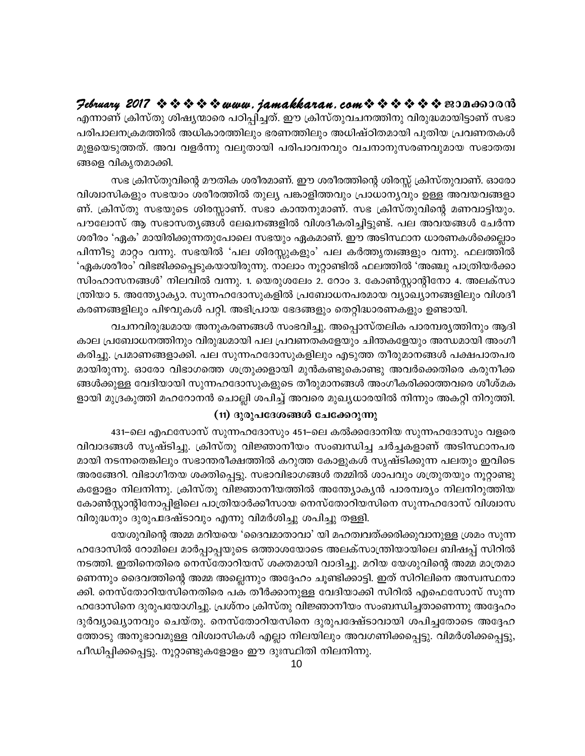എന്നാണ് ക്രിസ്തു ശിഷ്യന്മാരെ പഠിപ്പിച്ചത്. ഈ ക്രിസ്തുവചനത്തിനു വിരുദ്ധമായിട്ടാണ് സഭാ പരിപാലനക്രമത്തിൽ അധികാരത്തിലും ഭരണത്തിലും അധിഷ്ഠിതമായി പുതിയ പ്രവണതകൾ മുളയെടുത്തത്. അവ വളർന്നു വലുതായി പരിപാവനവും വചനാനുസരണവുമായ സഭാതത്വ ങ്ങളെ വികൃതമാക്കി.

സഭ ക്രിസ്തുവിന്റെ മൗതിക ശരീരമാണ്. ഈ ശരീരത്തിന്റെ ശിരസ്സ് ക്രിസ്തുവാണ്. ഓരോ വിശ്വാസികളും സഭയാം ശരീരത്തിൽ തുല്യ പങ്കാളിത്തവും പ്രാധാന്യവും ഉള്ള അവയവങ്ങളാ ണ്. ക്രിസ്തു സഭയുടെ ശിരസ്സാണ്. സഭാ കാന്തനുമാണ്. സഭ ക്രിസ്തുവിന്റെ മണവാട്ടിയും. പൗലോസ് ആ സഭാസത്യങ്ങൾ ലേഖനങ്ങളിൽ വിശദീകരിച്ചിട്ടുണ്ട്. പല അവയങ്ങൾ ചേർന്ന ശരീരം 'ഏക' മായിരിക്കുന്നതുപോലെ സഭയും ഏകമാണ്. ഈ അടിസ്ഥാന ധാരണകൾക്കെല്ലാം പിന്നീടു മാറ്റം വന്നു. സഭയിൽ 'പല ശിരസ്സുകളും' പല കർത്തൃത്വങ്ങളും വന്നു. ഫലത്തിൽ 'ഏകശരീരം' വിഭജിക്കപ്പെടുകയായിരുന്നു. നാലാം നൂറ്റാണ്ടിൽ ഫലത്തിൽ 'അഞ്ചു പാത്രിയർക്കാ സിംഹാസനങ്ങൾ' നിലവിൽ വന്നു. 1. യെരുശലേം 2. റോം 3. കോൺസ്റ്റാന്റിനോ 4. അലക്സാ ന്ത്രിയാ 5. അന്ത്യോക്യാ. സുന്നഹദോസുകളിൽ പ്രബോധനപരമായ വ്യാഖ്യാനങ്ങളിലും വിശദീ കരണങ്ങളിലും പിഴവുകൾ പറ്റി. അഭിപ്രായ ഭേദങ്ങളും തെറ്റിദ്ധാരണകളും ഉണ്ടായി.

വചനവിരുദ്ധമായ അനുകരണങ്ങൾ സംഭവിച്ചു. അപ്പൊസ്തലിക പാരമ്പര്യത്തിനും ആദി കാല പ്രബോധനത്തിനും വിരുദ്ധമായി പല പ്രവണതകളേയും ചിന്തകളേയും അന്ധമായി അംഗീ കരിച്ചു. പ്രമാണങ്ങളാക്കി. പല സുന്നഹദോസുകളിലും എടുത്ത തീരുമാനങ്ങൾ പക്ഷപാതപര മായിരുന്നു. ഓരോ വിഭാഗത്തെ ശത്രുക്കളായി മുൻകണ്ടുകൊണ്ടു അവർക്കെതിരെ കരുനീക്ക ങ്ങൾക്കുള്ള വേദിയായി സുന്നഹദോസുകളുടെ തീരുമാനങ്ങൾ അംഗീകരിക്കാത്തവരെ ശീശ്മക ളായി മുദ്രകുത്തി മഹറോനൻ ചൊല്ലി ശപിച്ച് അവരെ മുഖ്യധാരയിൽ നിന്നും അകറ്റി നിറുത്തി.

#### (11) ദുരുപദേശങ്ങൾ ചേക്കേറുന്നു

431–ലെ എഫസോസ് സുന്നഹദോസും 451–ലെ കൽക്കദോനിയ സുന്നഹദോസും വളരെ വിവാദങ്ങൾ സൃഷ്ടിച്ചു. ക്രിസ്തു വിജ്ഞാനീയം സംബന്ധിച്ച ചർച്ചകളാണ് അടിസ്ഥാനപര മായി നടന്നതെങ്കിലും സഭാന്തരീക്ഷത്തിൽ കറുത്ത കോളുകൾ സൃഷ്ടിക്കുന്ന പലതും ഇവിടെ അരങ്ങേറി. വിഭാഗീതയ ശക്തിപ്പെട്ടു. സഭാവിഭാഗങ്ങൾ തമ്മിൽ ശാപവും ശത്രുതയും നൂറ്റാണ്ടു കളോളം നിലനിന്നു. ക്രിസ്തു വിജ്ഞാനീയത്തിൽ അന്ത്യോകൃൻ പാരമ്പര്യം നിലനിറുത്തിയ കോൺസ്റ്റാന്റിനോപ്പിളിലെ പാത്രിയാർക്കീസായ നെസ്തോറിയസിനെ സുന്നഹദോസ് വിശ്വാസ വിരുദ്ധനും ദുരുപദേഷ്ടാവും എന്നു വിമർശിച്ചു ശപിച്ചു തള്ളി.

യേശുവിന്റെ അമ്മ മറിയയെ 'ദൈവമാതാവാ' യി മഹത്വവത്ക്കരിക്കുവാനുള്ള ശ്രമം സുന്ന ഹദോസിൽ റോമിലെ മാർപ്പാപ്പയുടെ ഒത്താശയോടെ അലക്സാന്ത്രിയായിലെ ബിഷപ്പ് സിറിൽ നടത്തി. ഇതിനെതിരെ നെസ്തോറിയസ് ശക്തമായി വാദിച്ചു. മറിയ യേശുവിന്റെ അമ്മ മാത്രമാ ണെന്നും ദൈവത്തിന്റെ അമ്മ അല്ലെന്നും അദ്ദേഹം ചൂണ്ടിക്കാട്ടി. ഇത് സിറിലിനെ അസ്വസ്ഥനാ ക്കി. നെസ്തോറിയസിനെതിരെ പക തീർക്കാനുള്ള വേദിയാക്കി സിറിൽ എഫെസോസ് സുന്ന ഹദോസിനെ ദുരുപയോഗിച്ചു. പ്രശ്നം ക്രിസ്തു വിജ്ഞാനീയം സംബന്ധിച്ചതാണെന്നു അദ്ദേഹം ദുർവ്യാഖ്യാനവും ചെയ്തു. നെസ്തോറിയസിനെ ദുരുപദേഷ്ടാവായി ശപിച്ചതോടെ അദ്ദേഹ ത്തോടു അനുഭാവമുള്ള വിശ്വാസികൾ എല്ലാ നിലയിലും അവഗണിക്കപ്പെട്ടു. വിമർശിക്കപ്പെട്ടു, പീഡിപ്പിക്കപ്പെട്ടു. നൂറ്റാണ്ടുകളോളം ഈ ദുഃസ്ഥിതി നിലനിന്നു.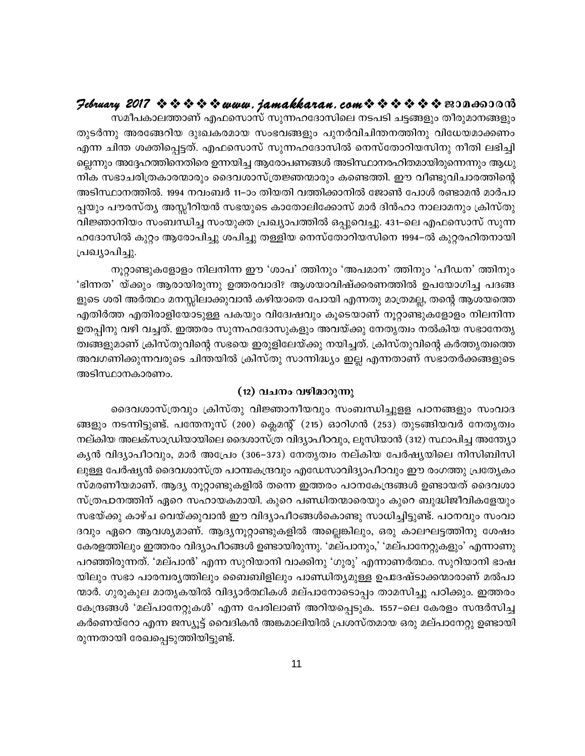#### February 2017  $\rightsquigarrow \rightsquigarrow \rightsquigarrow \rightsquigarrow www.$  jamakkaran.com  $\rightsquigarrow \rightsquigarrow \rightsquigarrow \rightsquigarrow \rightsquigarrow \infty$  monotors

സമീപകാലത്താണ് എഫസൊസ് സുന്നഹദോസിലെ നടപടി ചട്ടങ്ങളും തീരുമാനങ്ങളും തുടർന്നു അരങ്ങേറിയ ദുഃഖകരമായ സംഭവങ്ങളും പുനർവിചിന്തനത്തിനു വിധേയമാക്കണം എന്ന ചിന്ത ശക്തിപ്പെട്ടത്. എഫസൊസ് സുന്നഹദോസിൽ നെസ്തോറിയസിനു നീതി ലഭിച്ചി ല്ലെന്നും അദ്ദേഹത്തിനെതിരെ ഉന്നയിച്ച ആരോപണങ്ങൾ അടിസ്ഥാനരഹിതമായിരുന്നെന്നും ആധു നിക സഭാചരിത്രകാരന്മാരും ദൈവശാസ്ത്രജ്ഞന്മാരും കണ്ടെത്തി. ഈ വീണ്ടുവിചാരത്തിന്റെ അടിസ്ഥാനത്തിൽ. 1994 നവംബർ 11–ാം തിയതി വത്തിക്കാനിൽ ജോൺ പോൾ രണ്ടാമൻ മാർപാ പ്പയും പൗരസ്ത്യ അസ്സീറിയൻ സഭയുടെ കാതോലിക്കോസ് മാർ ദിൻഹാ നാലാമനും ക്രിസ്തു വിജ്ഞാനിയം സംബന്ധിച്ച സംയുക്ത പ്രഖ്യാപത്തിൽ ഒപ്പുവെച്ചു. 431–ലെ എഫസൊസ് സുന്ന ഹദോസിൽ കുറ്റം ആരോപിച്ചു ശപിച്ചു തള്ളിയ നെസ്തോറിയസിനെ 1994–ൽ കുറ്റരഹിതനായി പ്രഖ്യാപിച്ചു.

നൂറ്റാണ്ടുകളോളം നിലനിന്ന ഈ 'ശാപ' ത്തിനും 'അപമാന' ത്തിനും 'പീഡന' ത്തിനും 'ഭിന്നത' യ്ക്കും ആരായിരുന്നു ഉത്തരവാദി? ആശയാവിഷ്ക്കരണത്തിൽ ഉപയോഗിച്ച പദങ്ങ ളുടെ ശരി അർത്ഥം മനസ്സിലാക്കുവാൻ കഴിയാതെ പോയി എന്നതു മാത്രമല്ല, തന്റെ ആശയത്തെ എതിർത്ത എതിരാളിയോടുള്ള പകയും വിദേേഷവും കൂടെയാണ് നൂറ്റാണ്ടുകളോളം നിലനിന്ന ഉതപ്പിനു വഴി വച്ചത്. ഇത്തരം സുന്നഹദോസുകളും അവയ്ക്കു നേതൃത്വം നൽകിയ സഭാനേതൃ ത്വങ്ങളുമാണ് ക്രിസ്തുവിന്റെ സഭയെ ഇരുളിലേയ്ക്കു നയിച്ചത്. ക്രിസ്തുവിന്റെ കർത്തൃത്വത്തെ അവഗണിക്കുന്നവരുടെ ചിന്തയിൽ ക്രിസ്തു സാന്നിദ്ധ്യം ഇല്ല എന്നതാണ് സഭാതർക്കങ്ങളുടെ അടിസ്ഥാനകാരണം.

#### (12) വചനം വഴിമാറുന്നു

ദൈവശാസ്ത്രവും ക്രിസ്തു വിജ്ഞാനീയവും സംബന്ധിച്ചുളള പഠനങ്ങളും സംവാദ ങ്ങളും നടന്നിട്ടുണ്ട്. പന്തേനൂസ് (200) ക്ലെമന്റ് (215) ഓറിഗൻ (253) തുടങ്ങിയവർ നേതൃത്വം നല്കിയ അലക്സാഡ്രിയായിലെ ദൈശാസ്ത്ര വിദ്യാപീഠവും, ലൂസിയാൻ (312) സ്ഥാപിച്ച അന്ത്യോ കൃൻ വിദ്യാപീഠവും, മാർ അപ്രേം (306–373) നേതൃത്വം നല്കിയ പേർഷ്യയിലെ നിസിബിസി ലുള്ള പേർഷ്യൻ ദൈവശാസ്ത്ര പഠന്ദകന്ദ്രവും എഡേസാവിദ്യാപീഠവും ഈ രംഗത്തു പ്രത്യേകം സ്മരണീയമാണ്. ആദ്യ നൂറ്റാണ്ടുകളിൽ തന്നെ ഇത്തരം പഠനകേന്ദ്രങ്ങൾ ഉണ്ടായത് ദൈവശാ സ്ത്രപാനത്തിന് ഏറെ സഹായകമായി. കുറെ പണ്ഡിതന്മാരെയും കുറെ ബുദ്ധിജീവികളേയും സഭയ്ക്കു കാഴ്ച വെയ്ക്കുവാൻ ഈ വിദ്യാപീഠങ്ങൾകൊണ്ടു സാധിച്ചിട്ടുണ്ട്. പഠനവും സംവാ ദവും ഏറെ ആവശ്യമാണ്. ആദ്യനൂറ്റാണ്ടുകളിൽ അല്ലെങ്കിലും, ഒരു കാലഘട്ടത്തിനു ശേഷം കേരളത്തിലും ഇത്തരം വിദ്യാപീഠങ്ങൾ ഉണ്ടായിരുന്നു. 'മല്പാനും,' 'മല്പാനേറ്റുകളും' എന്നാണു പറഞ്ഞിരുന്നത്. 'മല്പാൻ' എന്ന സുറിയാനി വാക്കിനു 'ഗുരു' എന്നാണർത്ഥം. സുറിയാനി ഭാഷ യിലും സഭാ പാരമ്പരൃത്തിലും ബൈബിളിലും പാണ്ഡിത്യമുള്ള ഉപദേഷ്ടാക്കന്മാരാണ് മൽപാ ന്മാർ. ഗുരുകുല മാതൃകയിൽ വിദ്യാർത്ഥികൾ മല്പാനോടൊപ്പം താമസിച്ചു പഠിക്കും. ഇത്തരം കേന്ദ്രങ്ങൾ 'മല്പാനേറ്റുകൾ' എന്ന പേരിലാണ് അറിയപ്പെടുക. 1557–ലെ കേരളം സന്ദർസിച്ച കർണെയ്റോ എന്ന ജസ്യൂട്ട് വൈദികൻ അങ്കമാലിയിൽ പ്രശസ്തമായ ഒരു മല്പാനേറ്റു ഉണ്ടായി രുന്നതായി രേഖപ്പെടുത്തിയിട്ടുണ്ട്.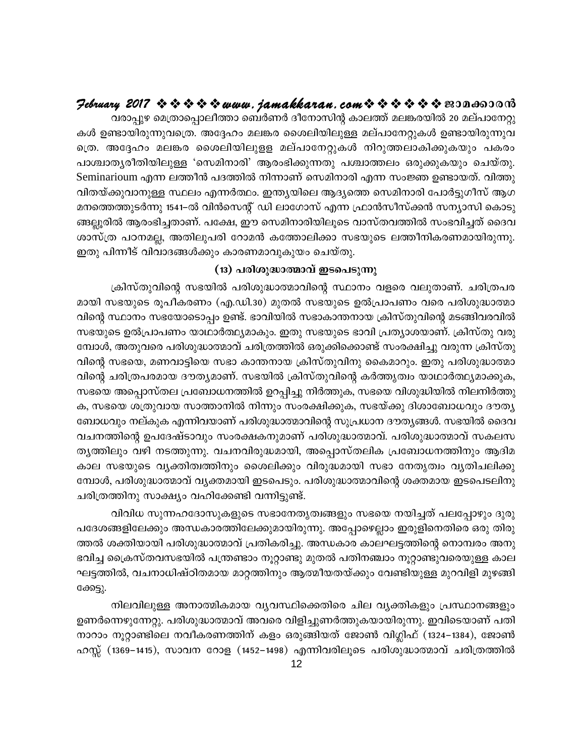## $\mathcal P$ ebruary 2017  $\rightsquigarrow \rightsquigarrow \rightsquigarrow \rightsquigarrow$  www.jamakkaran.com  $\rightsquigarrow \rightsquigarrow \rightsquigarrow \rightsquigarrow \rightsquigarrow$  nononono

വരാപ്പുഴ മെത്രാപ്പൊലീത്താ ബെർണർ ദീനോസിന്റ കാലത്ത് മലങ്കരയിൽ 20 മല്പാനേറ്റു കൾ ഉണ്ടായിരുന്നുവത്രെ. അദ്ദേഹം മലങ്കര ശൈലിയിലുള്ള മല്പാനേറ്റുകൾ ഉണ്ടായിരുന്നുവ ത്രെ. അദ്ദേഹം മലങ്കര ശൈലിയിലുളള മല്പാനേറ്റുകൾ നിറുത്തലാകിക്കുകയും പകരം പാശ്ചാതൃരീതിയിലുള്ള 'സെമിനാരി' ആരംഭിക്കുന്നതു പശ്ചാത്തലം ഒരുക്കുകയും ചെയ്തു. Seminarioum എന്ന ലത്തീൻ പദത്തിൽ നിന്നാണ് സെമിനാരി എന്ന സംജ്ഞ ഉണ്ടായത്. വിത്തു വിതയ്ക്കുവാനുള്ള സ്ഥലം എന്നർത്ഥം. ഇന്ത്യയിലെ ആദ്യത്തെ സെമിനാരി പോർട്ടുഗീസ് ആഗ മനത്തെത്തുടർന്നു 1541–ൽ വിൻസെന്റ് ഡി ലാഗോസ് എന്ന ഫ്രാൻസീസ്ക്കൻ സന്യാസി കൊടു ങ്ങല്ലൂരിൽ ആരംഭിച്ചതാണ്. പക്ഷേ, ഈ സെമിനാരിയിലൂടെ വാസ്തവത്തിൽ സംഭവിച്ചത് ദൈവ ശാസ്ത്ര പഠനമല്ല, അതിലുപരി റോമൻ കത്തോലിക്കാ സഭയുടെ ലത്തീനികരണമായിരുന്നു. ഇതു പിന്നീട് വിവാദങ്ങൾക്കും കാരണമാവുകുയം ചെയ്തു.

#### (13) പരിശുദ്ധാത്മാവ് ഇടപെടുന്നു

ക്രിസ്തുവിന്റെ സഭയിൽ പരിശുദ്ധാത്മാവിന്റെ സ്ഥാനം വളരെ വലുതാണ്. ചരിത്രപര മായി സഭയുടെ രൂപീകരണം (എ.ഡി.30) മുതൽ സഭയുടെ ഉൽപ്രാപണം വരെ പരിശുദ്ധാത്മാ വിന്റെ സ്ഥാനം സഭയോടൊപ്പം ഉണ്ട്. ഭാവിയിൽ സഭാകാന്തനായ ക്രിസ്തുവിന്റെ മടങ്ങിവരവിൽ സഭയുടെ ഉൽപ്രാപണം യാഥാർത്ഥ്യമാകും. ഇതു സഭയുടെ ഭാവി പ്രത്യാശയാണ്. ക്രിസ്തു വരു മ്പോൾ, അതുവരെ പരിശുദ്ധാത്മാവ് ചരിത്രത്തിൽ ഒരുക്കിക്കൊണ്ട് സംരക്ഷിച്ചു വരുന്ന ക്രിസ്തു വിന്റെ സഭയെ, മണവാട്ടിയെ സഭാ കാന്തനായ ക്രിസ്തുവിനു കൈമാറും. ഇതു പരിശുദ്ധാത്മാ വിന്റെ ചരിത്രപരമായ ദൗതൃമാണ്. സഭയിൽ ക്രിസ്തുവിന്റെ കർത്തൃത്വം യാഥാർത്ഥ്യമാക്കുക, സഭയെ അപ്പൊസ്തല പ്രബോധനത്തിൽ ഉറപ്പിച്ചു നിർത്തുക, സഭയെ വിശുദ്ധിയിൽ നിലനിർത്തു ക, സഭയെ ശത്രുവായ സാത്താനിൽ നിന്നും സംരക്ഷിക്കുക, സഭയ്ക്കു ദിശാബോധവും ദൗതൃ ബോധവും നല്കുക എന്നിവയാണ് പരിശുദ്ധാത്മാവിന്റെ സുപ്രധാന ദൗതൃങ്ങൾ. സഭയിൽ ദൈവ വചനത്തിന്റെ ഉപദേഷ്ടാവും സംരക്ഷകനുമാണ് പരിശുദ്ധാത്മാവ്. പരിശുദ്ധാത്മാവ് സകലസ തൃത്തിലും വഴി നടത്തുന്നു. വചനവിരുദ്ധമായി, അപ്പൊസ്തലിക പ്രബോധനത്തിനും ആദിമ കാല സഭയുടെ വ്യക്തിത്വത്തിനും ശൈലിക്കും വിരുദ്ധമായി സഭാ നേതൃത്വം വ്യതിചലിക്കു മ്പോൾ, പരിശുദ്ധാത്മാവ് വൃക്തമായി ഇടപെടും. പരിശുദ്ധാത്മാവിന്റെ ശക്തമായ ഇടപെടലിനു ചരിത്രത്തിനു സാക്ഷ്യം വഹിക്കേണ്ടി വന്നിട്ടുണ്ട്.

വിവിധ സുന്നഹദോസുകളുടെ സഭാനേതൃത്വങ്ങളും സഭയെ നയിച്ചത് പലപ്പോഴും ദുരു പദേശങ്ങളിലേക്കും അന്ധകാരത്തിലേക്കുമായിരുന്നു. അപ്പോഴെല്ലാം ഇരുളിനെതിരെ ഒരു തിരു ത്തൽ ശക്തിയായി പരിശുദ്ധാത്മാവ് പ്രതികരിച്ചു. അന്ധകാര കാലഘട്ടത്തിന്റെ നൊമ്പരം അനു ഭവിച്ച ക്രൈസ്തവസഭയിൽ പന്ത്രണ്ടാം നൂറ്റാണ്ടു മുതൽ പതിനഞ്ചാം നൂറ്റാണ്ടുവരെയുള്ള കാല ഘട്ടത്തിൽ, വചനാധിഷ്ഠിതമായ മാറ്റത്തിനും ആത്മീയതയ്ക്കും വേണ്ടിയുള്ള മുറവിളി മുഴങ്ങി ക്കേട്ടു.

നിലവിലുള്ള അനാത്മികമായ വ്യവസ്ഥിക്കെതിരെ ചില വ്യക്തികളും പ്രസ്ഥാനങ്ങളും ഉണർന്നെഴുന്നേറ്റു. പരിശുദ്ധാത്മാവ് അവരെ വിളിച്ചുണർത്തുകയായിരുന്നു. ഇവിടെയാണ് പതി നാറാം നൂറ്റാണ്ടിലെ നവീകരണത്തിന് കളം ഒരുങ്ങിയത് ജോൺ വിഗ്ലിഫ് (1324–1384), ജോൺ ഹസ്സ് (1369–1415), സാവന റോള (1452–1498) എന്നിവരിലൂടെ പരിശുദ്ധാത്മാവ് ചരിത്രത്തിൽ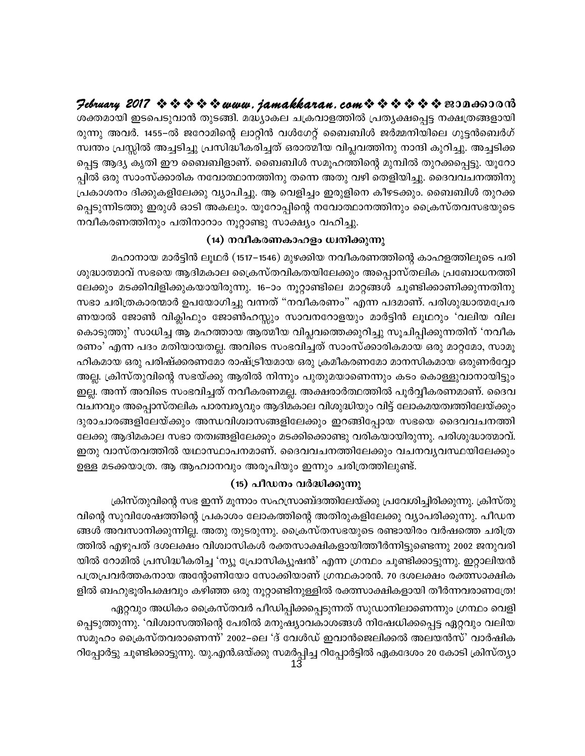$\mathcal{P}$ ebruary 2017  $\rightsquigarrow \rightsquigarrow \rightsquigarrow \rightsquigarrow uww.$ jamakkaran.com $\rightsquigarrow \rightsquigarrow \rightsquigarrow \rightsquigarrow \rightsquigarrow \rightsquigarrow \text{non}$ ശക്തമായി ഇടപെടുവാൻ തുടങ്ങി. മദ്ധ്യാകല ചക്രവാളത്തിൽ പ്രത്യക്ഷപ്പെട്ട നക്ഷത്രങ്ങളായി രുന്നു അവർ. 1455–ൽ ജറോമിന്റെ ലാറ്റിൻ വൾഗേറ്റ് ബൈബിൾ ജർമ്മനിയിലെ ഗുട്ടൻബെർഗ് സ്വന്തം പ്രസ്സിൽ അച്ചടിച്ചു പ്രസിദ്ധീകരിച്ചത് ഒരാത്മീയ വിപ്ലവത്തിനു നാന്ദി കുറിച്ചു. അച്ചടിക്ക പ്പെട്ട ആദ്യ കൃതി ഈ ബൈബിളാണ്. ബൈബിൾ സമൂഹത്തിന്റെ മുമ്പിൽ തുറക്കപ്പെട്ടു. യൂറോ പ്പിൽ ഒരു സാംസ്ക്കാരിക നവോത്ഥാനത്തിനു തന്നെ അതു വഴി തെളിയിച്ചു. ദൈവവചനത്തിനു പ്രകാശനം ദിക്കുകളിലേക്കു വ്യാപിച്ചു. ആ വെളിച്ചം ഇരുളിനെ കീഴടക്കും. ബൈബിൾ തുറക്ക പ്പെടുന്നിടത്തു ഇരുൾ ഓടി അകലും. യൂറോപ്പിന്റെ നവോത്ഥാനത്തിനും ക്രൈസ്തവസഭയുടെ നവീകരണത്തിനും പതിനാറാം നൂറ്റാണ്ടു സാക്ഷ്യം വഹിച്ചു.

#### (14) നവീകരണകാഹളം ധ്വനിക്കുന്നു

മഹാനായ മാർട്ടിൻ ലൂഥർ (1517–1546) മുഴക്കിയ നവീകരണത്തിന്റെ കാഹളത്തിലൂടെ പരി ശുദ്ധാത്മാവ് സഭയെ ആദിമകാല ക്രൈസ്തവികതയിലേക്കും അപ്പൊസ്തലിക പ്രബോധനത്തി ലേക്കും മടക്കിവിളിക്കുകയായിരുന്നു. 16–ാം നൂറ്റാണ്ടിലെ മാറ്റങ്ങൾ ചൂണ്ടിക്കാണിക്കുന്നതിനു സഭാ ചരിത്രകാരന്മാർ ഉപയോഗിച്ചു വന്നത് "നവീകരണം" എന്ന പദമാണ്. പരിശുദ്ധാത്മപ്രേര ണയാൽ ജോൺ വിക്ലിഫും ജോൺഹസ്സും സാവനറോളയും മാർട്ടിൻ ലൂഥറും 'വലിയ വില കൊടുത്തു' സാധിച്ച ആ മഹത്തായ ആത്മീയ വിപ്ലവത്തെക്കുറിച്ചു സൂചിപ്പിക്കുന്നതിന് 'നവീക രണം' എന്ന പദം മതിയായതല്ല. അവിടെ സംഭവിച്ചത് സാംസ്ക്കാരികമായ ഒരു മാറ്റമോ, സാമൂ ഹികമായ ഒരു പരിഷ്ക്കരണമോ രാഷ്ട്രീയമായ ഒരു ക്രമീകരണമോ മാനസികമായ ഒരുണർവ്വോ അല്ല. ക്രിസ്തുവിന്റെ സഭയ്ക്കു ആരിൽ നിന്നും പുതുമയാണെന്നും കടം കൊള്ളുവാനായിട്ടും ഇല്ല. അന്ന് അവിടെ സംഭവിച്ചത് നവീകരണമല്ല. അക്ഷരാർത്ഥത്തിൽ പൂർവ്വീകരണമാണ്. ദൈവ വചനവും അപ്പൊസ്തലിക പാരമ്പര്യവും ആദിമകാല വിശുദ്ധിയും വിട്ട് ലോകമയത്വത്തിലേയ്ക്കും ദുരാചാരങ്ങളിലേയ്ക്കും അന്ധവിശ്വാസങ്ങളിലേക്കും ഇറങ്ങിപ്പോയ സഭയെ ദൈവവചനത്തി ലേക്കു ആദിമകാല സഭാ തത്വങ്ങളിലേക്കും മടക്കിക്കൊണ്ടു വരികയായിരുന്നു. പരിശുദ്ധാത്മാവ്. ഇതു വാസ്തവത്തിൽ യഥാസ്ഥാപനമാണ്. ദൈവവചനത്തിലേക്കും വചനവൃവസ്ഥയിലേക്കും ഉള്ള മടക്കയാത്ര. ആ ആഹ്വാനവും അരൂപിയും ഇന്നും ചരിത്രത്തിലുണ്ട്.

#### (15) പീഡനം വർദ്ധിക്കുന്നു

ക്രിസ്തുവിന്റെ സഭ ഇന്ന് മൂന്നാം സഹസ്രാബ്ദത്തിലേയ്ക്കു പ്രവേശിച്ചിരിക്കുന്നു. ക്രിസ്തു വിന്റെ സുവിശേഷത്തിന്റെ പ്രകാശം ലോകത്തിന്റെ അതിരുകളിലേക്കു വ്യാപരിക്കുന്നു. പീഡന ങ്ങൾ അവസാനിക്കുന്നില്ല. അതു തുടരുന്നു. ക്രൈസ്തസഭയുടെ രണ്ടായിരം വർഷത്തെ ചരിത്ര ത്തിൽ എഴുപത് ദശലക്ഷം വിശ്വാസികൾ രക്തസാക്ഷികളായിത്തീർന്നിട്ടുണ്ടെന്നു 2002 ജനുവരി യിൽ റോമിൽ പ്രസിദ്ധീകരിച്ച 'ന്യൂ പ്രോസിക്യൂഷൻ' എന്ന ഗ്രന്ഥം ചൂണ്ടിക്കാട്ടുന്നു. ഇറ്റാലിയൻ പത്രപ്രവർത്തകനായ അന്റോണിയോ സോക്കിയാണ് ഗ്രന്ഥകാരൻ. 70 ദശലക്ഷം രക്തസാക്ഷിക ളിൽ ബഹുഭൂരിപക്ഷവും കഴിഞ്ഞ ഒരു നൂറ്റാണ്ടിനുള്ളിൽ രക്തസാക്ഷികളായി തീർന്നവരാണത്രേ!

ഏറ്റവും അധികം ക്രൈസ്തവർ പീഡിപ്പിക്കപ്പെടുന്നത് സുഡാനിലാണെന്നും ഗ്രന്ഥം വെളി പ്പെടുത്തുന്നു. 'വിശ്വാസത്തിന്റെ പേരിൽ മനുഷ്യാവകാശങ്ങൾ നിഷേധിക്കപ്പെട്ട ഏറ്റവും വലിയ സമൂഹം ക്രൈസ്തവരാണെന്ന്' 2002–ലെ 'ദ് വേൾഡ് ഇവാൻജെലിക്കൽ അലയൻസ്' വാർഷിക റിപ്പോർട്ടു ചൂണ്ടിക്കാട്ടുന്നു. യു.എൻ.ഒയ്ക്കു സമർപ്പിച്ച റിപ്പോർട്ടിൽ ഏകദേശം 20 കോടി ക്രിസ്ത്യാ<br>13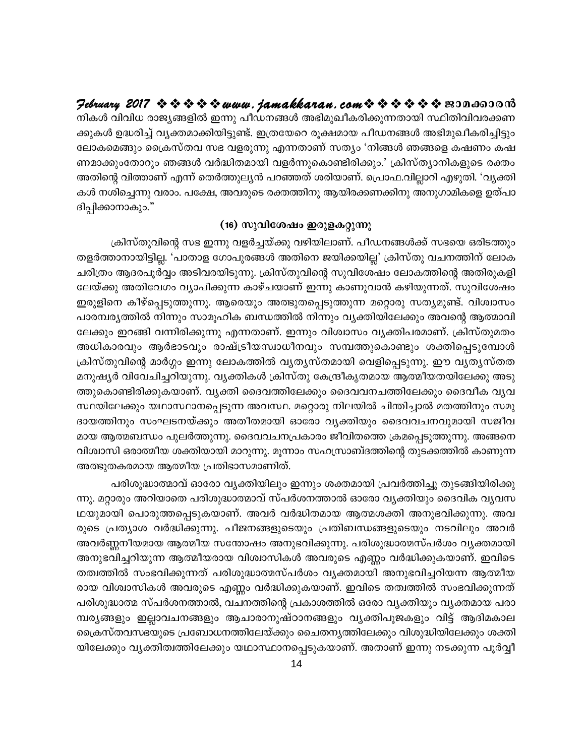February 2017  $\rightsquigarrow \rightsquigarrow \rightsquigarrow \rightsquigarrow www.$  jamakkaran. com $\rightsquigarrow \rightsquigarrow \rightsquigarrow \rightsquigarrow \rightsquigarrow \rightsquigarrow \text{exp}$ നികൾ വിവിധ രാജ്യങ്ങളിൽ ഇന്നു പീഡനങ്ങൾ അഭിമുഖീകരിക്കുന്നതായി സ്ഥിതിവിവരക്കണ ക്കുകൾ ഉദ്ധരിച്ച് വൃക്തമാക്കിയിട്ടുണ്ട്. ഇത്രയേറെ രൂക്ഷമായ പീഡനങ്ങൾ അഭിമുഖീകരിച്ചിട്ടും ലോകമെങ്ങും ക്രൈസ്തവ സഭ വളരുന്നു എന്നതാണ് സത്യം 'നിങ്ങൾ ഞങ്ങളെ കഷണം കഷ ണമാക്കുംതോറും ഞങ്ങൾ വർദ്ധിതമായി വളർന്നുകൊണ്ടിരിക്കും.' ക്രിസ്ത്യാനികളുടെ രക്തം അതിന്റെ വിത്താണ് എന്ന് തെർത്തുലൃൻ പറഞ്ഞത് ശരിയാണ്. പ്രൊഫ.വില്ലാറി എഴുതി. 'വൃക്തി കൾ നശിച്ചെന്നു വരാം. പക്ഷേ, അവരുടെ രക്തത്തിനു ആയിരക്കണക്കിനു അനുഗാമികളെ ഉത്പാ ദിപ്പിക്കാനാകും."

#### (16) സുവിശേഷം ഇരുളകറ്റുന്നു

ക്രിസ്തുവിന്റെ സഭ ഇന്നു വളർച്ചയ്ക്കു വഴിയിലാണ്. പീഡനങ്ങൾക്ക് സഭയെ ഒരിടത്തും തളർത്താനായിട്ടില്ല. 'പാതാള ഗോപുരങ്ങൾ അതിനെ ജയിക്കയില്ല' ക്രിസ്തു വചനത്തിന് ലോക ചരിത്രം ആദരപൂർവ്വം അടിവരയിടുന്നു. ക്രിസ്തുവിന്റെ സുവിശേഷം ലോകത്തിന്റെ അതിരുകളി ലേയ്ക്കു അതിവേഗം വ്യാപിക്കുന്ന കാഴ്ചയാണ് ഇന്നു കാണുവാൻ കഴിയുന്നത്. സുവിശേഷം ഇരുളിനെ കീഴ്പ്പെടുത്തുന്നു. ആരെയും അത്ഭുതപ്പെടുത്തുന്ന മറ്റൊരു സത്യമുണ്ട്. വിശ്വാസം പാരമ്പര്യത്തിൽ നിന്നും സാമൂഹിക ബന്ധത്തിൽ നിന്നും വ്യക്തിയിലേക്കും അവന്റെ ആത്മാവി ലേക്കും ഇറങ്ങി വന്നിരിക്കുന്നു എന്നതാണ്. ഇന്നും വിശ്വാസം വൃക്തിപരമാണ്. ക്രിസ്തുമതം അധികാരവും ആർഭാടവും രാഷ്ട്രീയസ്വാധീനവും സമ്പത്തുകൊണ്ടും ശക്തിപ്പെടുമ്പോൾ ക്രിസ്തുവിന്റെ മാർഗ്ഗം ഇന്നു ലോകത്തിൽ വ്യത്യസ്തമായി വെളിപ്പെടുന്നു. ഈ വ്യത്യസ്തത മനുഷ്യർ വിവേചിച്ചറിയുന്നു. വ്യക്തികൾ ക്രിസ്തു കേന്ദ്രീകൃതമായ ആത്മീയതയിലേക്കു അടു ത്തുകൊണ്ടിരിക്കുകയാണ്. വൃക്തി ദൈവത്തിലേക്കും ദൈവവനചത്തിലേക്കും ദൈവീക വൃവ സ്ഥയിലേക്കും യഥാസ്ഥാനപ്പെടുന്ന അവസ്ഥ. മറ്റൊരു നിലയിൽ ചിന്തിച്ചാൽ മതത്തിനും സമു ദായത്തിനും സംഘടനയ്ക്കും അതീതമായി ഓരോ വൃക്തിയും ദൈവവചനവുമായി സജീവ മായ ആത്മബന്ധം പുലർത്തുന്നു. ദൈവവചനപ്രകാരം ജീവിതത്തെ ക്രമപ്പെടുത്തുന്നു. അങ്ങനെ വിശ്വാസി ഒരാത്മീയ ശക്തിയായി മാറുന്നു. മൂന്നാം സഹസ്രാബ്ദത്തിന്റെ തുടക്കത്തിൽ കാണുന്ന അത്ഭുതകരമായ ആത്മീയ പ്രതിഭാസമാണിത്.

പരിശുദ്ധാത്മാവ് ഓരോ വ്യക്തിയിലും ഇന്നും ശക്തമായി പ്രവർത്തിച്ചു തുടങ്ങിയിരിക്കു ന്നു. മറ്റാരും അറിയാതെ പരിശുദ്ധാത്മാവ് സ്പർശനത്താൽ ഓരോ വ്യക്തിയും ദൈവിക വ്യവസ ഥയുമായി പൊരുത്തപ്പെടുകയാണ്. അവർ വർദ്ധിതമായ ആത്മശക്തി അനുഭവിക്കുന്നു. അവ രുടെ പ്രത്യാശ വർദ്ധിക്കുന്നു. പീജനങ്ങളുടെയും പ്രതിബന്ധങ്ങളുടെയും നടവിലും അവർ അവർണ്ണനീയമായ ആത്മീയ സന്തോഷം അനുഭവിക്കുന്നു. പരിശുദ്ധാത്മസ്പർശം വൃക്തമായി അനുഭവിച്ചറിയുന്ന ആത്മീയരായ വിശ്വാസികൾ അവരുടെ എണ്ണം വർദ്ധിക്കുകയാണ്. ഇവിടെ തത്വത്തിൽ സംഭവിക്കുന്നത് പരിശുദ്ധാത്മസ്പർശം വ്യക്തമായി അനുഭവിച്ചറിയന്ന ആത്മീയ രായ വിശ്വാസികൾ അവരുടെ എണ്ണം വർദ്ധിക്കുകയാണ്. ഇവിടെ തത്വത്തിൽ സംഭവിക്കുന്നത് പരിശുദ്ധാത്മ സ്പർശനത്താൽ, വചനത്തിന്റെ പ്രകാശത്തിൽ ഒരോ വൃക്തിയും വൃക്തമായ പരാ മ്പര്യങ്ങളും ഇല്ലാവചനങ്ങളും ആചാരാനുഷ്ഠാനങ്ങളും വ്യക്തിപൂജകളും വിട്ട് ആദിമകാല ക്രൈസ്തവസഭയുടെ പ്രബോധനത്തിലേയ്ക്കും ചൈതനൃത്തിലേക്കും വിശുദ്ധിയിലേക്കും ശക്തി യിലേക്കും വൃക്തിത്വത്തിലേക്കും യഥാസ്ഥാനപ്പെടുകയാണ്. അതാണ് ഇന്നു നടക്കുന്ന പൂർവ്വീ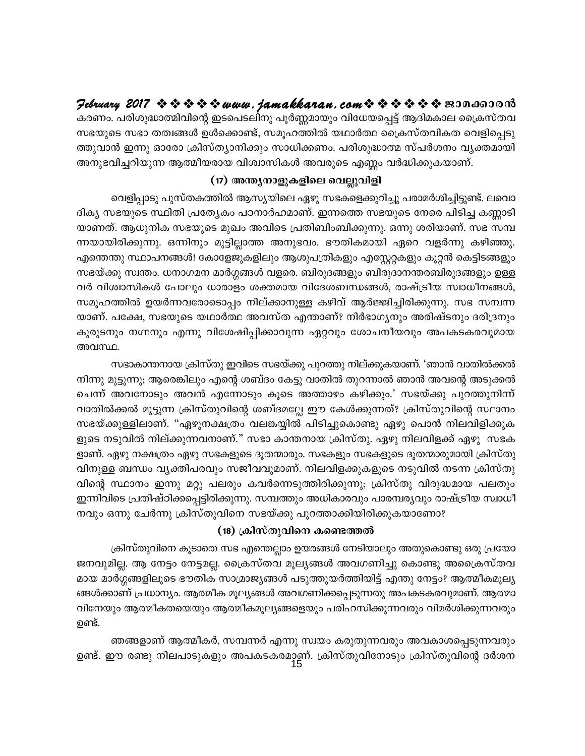Hebruary 2017  $\rightsquigarrow \rightsquigarrow \rightsquigarrow \rightsquigarrow uww.$  jamakkaran.com  $\rightsquigarrow \rightsquigarrow \rightsquigarrow \rightsquigarrow \rightsquigarrow \infty$ 

കരണം. പരിശുദ്ധാത്മിവിന്റെ ഇടപെടലിനു പൂർണ്ണമായും വിധേയപ്പെട്ട് ആദിമകാല ക്രൈസ്തവ സഭയുടെ സഭാ തത്വങ്ങൾ ഉൾക്കൊണ്ട്, സമൂഹത്തിൽ യഥാർത്ഥ ക്രൈസ്തവികത വെളിപ്പെടു ത്തുവാൻ ഇന്നു ഓരോ ക്രിസ്ത്യാനിക്കും സാധിക്കണം. പരിശുദ്ധാത്മ സ്പർശനം വ്യക്തമായി അനുഭവിച്ചറിയുന്ന ആത്മീയരായ വിശ്വാസികൾ അവരുടെ എണ്ണം വർദ്ധിക്കുകയാണ്.

#### (17) അന്ത്യനാളുകളിലെ വെല്ലുവിളി

വെളിപ്പാടു പുസ്തകത്തിൽ ആസൃയിലെ ഏഴു സഭകളെക്കുറിച്ചു പരാമർശിച്ചിട്ടുണ്ട്. ലവൊ ദികൃ സഭയുടെ സ്ഥിതി പ്രത്യേകം പഠനാർഹമാണ്. ഇന്നത്തെ സഭയുടെ നേരെ പിടിച്ച കണ്ണാടി യാണത്. ആധുനിക സഭയുടെ മുഖം അവിടെ പ്രതിബിംബിക്കുന്നു. ഒന്നു ശരിയാണ്. സഭ സമ്പ ന്നയായിരിക്കുന്നു. ഒന്നിനും മുട്ടില്ലാത്ത അനുഭവം. ഭൗതികമായി ഏറെ വളർന്നു കഴിഞ്ഞു. എന്തെന്തു സ്ഥാപനങ്ങൾ! കോളേജുകളിലും ആശുപത്രികളും എസ്റ്റേറ്റകളും കൂറ്റൻ കെട്ടിടങ്ങളും സഭയ്ക്കു സ്വന്തം. ധനാഗമന മാർഗ്ഗങ്ങൾ വളരെ. ബിരുദങ്ങളും ബിരുദാനന്തരബിരുദങ്ങളും ഉള്ള വർ വിശ്വാസികൾ പോലും ധാരാളം ശക്തമായ വിദേശബന്ധങ്ങൾ, രാഷ്ട്രീയ സ്വാധീനങ്ങൾ, സമൂഹത്തിൽ ഉയർന്നവരോടൊപ്പം നില്ക്കാനുള്ള കഴിവ് ആർജ്ജിച്ചിരിക്കുന്നു. സഭ സമ്പന്ന യാണ്. പക്ഷേ, സഭയുടെ യഥാർത്ഥ അവസ്ത എന്താണ്? നിർഭാഗൃനും അരിഷ്ടനും ദരിദ്രനും കുരുടനും നഗ്നനും എന്നു വിശേഷിപ്പിക്കാവുന്ന ഏറ്റവും ശോചനീയവും അപകടകരവുമായ അവസ്ഥ.

സഭാകാന്തനായ ക്രിസ്തു ഇവിടെ സഭയ്ക്കു പുറത്തു നില്ക്കുകയാണ്. 'ഞാൻ വാതിൽക്കൽ നിന്നു മുട്ടുന്നു; ആരെങ്കിലും എന്റെ ശബ്ദം കേട്ടു വാതിൽ തുറന്നാൽ ഞാൻ അവന്റെ അടുക്കൽ ചെന്ന് അവനോടും അവൻ എന്നോടും കൂടെ അത്താഴം കഴിക്കും.' സഭയ്ക്കു പുറത്തുനിന്ന് വാതിൽക്കൽ മുട്ടുന്ന ക്രിസ്തുവിന്റെ ശബ്ദമല്ലേ ഈ കേൾക്കുന്നത്? ക്രിസ്തുവിന്റെ സ്ഥാനം സഭയ്ക്കുള്ളിലാണ്. "ഏഴുനക്ഷത്രം വലങ്കയ്യിൽ പിടിച്ചുകൊണ്ടു ഏഴു പൊൻ നിലവിളിക്കുക ളുടെ നടുവിൽ നില്ക്കുന്നവനാണ്." സഭാ കാന്തനായ ക്രിസ്തു. ഏഴു നിലവിളക്ക് ഏഴു സഭക ളാണ്. ഏഴു നക്ഷത്രം ഏഴു സഭകളുടെ ദൂതന്മാരും. സഭകളും സഭകളുടെ ദൂതന്മാരുമായി ക്രിസ്തു വിനുള്ള ബന്ധം വൃക്തിപരവും സജീവവുമാണ്. നിലവിളക്കുകളുടെ നടുവിൽ നടന്ന ക്രിസ്തു വിന്റെ സ്ഥാനം ഇന്നു മറ്റു പലരും കവർന്നെടുത്തിരിക്കുന്നു; ക്രിസ്തു വിരുദ്ധമായ പലതും ഇന്നിവിടെ പ്രതിഷ്ഠിക്കപ്പെട്ടിരിക്കുന്നു. സമ്പത്തും അധികാരവും പാരമ്പര്യവും രാഷ്ട്രീയ സ്വാധീ നവും ഒന്നു ചേർന്നു ക്രിസ്തുവിനെ സഭയ്ക്കു പുറത്താക്കിയിരിക്കുകയാണോ?

#### (18) ക്രിസ്തുവിനെ കണ്ടെത്തൽ

ക്രിസ്തുവിനെ കൂടാതെ സഭ എന്തെല്ലാം ഉയരങ്ങൾ നേടിയാലും അതുകൊണ്ടു ഒരു പ്രയോ ജനവുമില്ല. ആ നേട്ടം നേട്ടമല്ല. ക്രൈസ്തവ മൂല്യങ്ങൾ അവഗണിച്ചു കൊണ്ടു അക്രൈസ്തവ മായ മാർഗ്ഗങ്ങളിലൂടെ ഭൗതിക സാമ്രാജ്യങ്ങൾ പടുത്തുയർത്തിയിട്ട് എന്തു നേട്ടം? ആത്മീകമൂല്യ ങ്ങൾക്കാണ് പ്രധാന്യം. ആത്മീക മൂല്യങ്ങൾ അവഗണിക്കപ്പെടുന്നതു അപകടകരവുമാണ്. ആത്മാ വിനേയും ആത്മീകതയെയും ആത്മീകമൂല്യങ്ങളെയും പരിഹസിക്കുന്നവരും വിമർശിക്കുന്നവരും ഉണ്ട്.

ഞങ്ങളാണ് ആത്മീകർ, സമ്പന്നർ എന്നു സ്വയം കരുതുന്നവരും അവകാശപ്പെടുന്നവരും ഉണ്ട്. ഈ രണ്ടു നിലപാടുകളും അപകടകരമാണ്. ക്രിസ്തുവിനോടും ക്രിസ്തുവിന്റെ ദർശന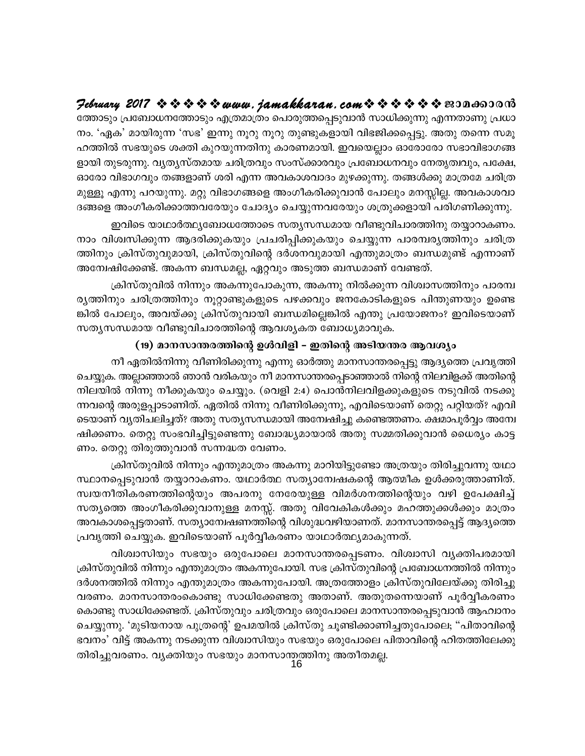## February 2017  $\rightsquigarrow \rightsquigarrow \rightsquigarrow \rightsquigarrow www.$  jamakkaran. com $\rightsquigarrow \rightsquigarrow \rightsquigarrow \rightsquigarrow \rightsquigarrow \rightsquigarrow \text{exp}$

ത്തോടും പ്രബോധനത്തോടും എത്രമാത്രം പൊരുത്തപ്പെടുവാൻ സാധിക്കുന്നു എന്നതാണു പ്രധാ നം. 'ഏക' മായിരുന്ന 'സഭ' ഇന്നു നൂറു നൂറു തുണ്ടുകളായി വിഭജിക്കപ്പെട്ടു. അതു തന്നെ സമൂ ഹത്തിൽ സഭയുടെ ശക്തി കുറയുന്നതിനു കാരണമായി. ഇവയെല്ലാം ഓരോരോ സഭാവിഭാഗങ്ങ ളായി തുടരുന്നു. വ്യതൃസ്തമായ ചരിത്രവും സംസ്ക്കാരവും പ്രബോധനവും നേതൃത്വവും, പക്ഷേ, ഓരോ വിഭാഗവും തങ്ങളാണ് ശരി എന്ന അവകാശവാദം മുഴക്കുന്നു. തങ്ങൾക്കു മാത്രമേ ചരിത്ര മുള്ളൂ എന്നു പറയുന്നു. മറ്റു വിഭാഗങ്ങളെ അംഗീകരിക്കുവാൻ പോലും മനസ്സില്ല. അവകാശവാ ദങ്ങളെ അംഗീകരിക്കാത്തവരേയും ചോദ്യം ചെയ്യുന്നവരേയും ശത്രുക്കളായി പരിഗണിക്കുന്നു.

ഇവിടെ യാഥാർത്ഥ്യബോധത്തോടെ സത്യസന്ധമായ വീണ്ടുവിചാരത്തിനു തയ്യാറാകണം. നാം വിശ്വസിക്കുന്ന ആദരിക്കുകയും പ്രചരിപ്പിക്കുകയും ചെയ്യുന്ന പാരമ്പര്യത്തിനും ചരിത്ര ത്തിനും ക്രിസ്തുവുമായി, ക്രിസ്തുവിന്റെ ദർശനവുമായി എന്തുമാത്രം ബന്ധമുണ്ട് എന്നാണ് അന്വേഷിക്കേണ്ട്. അകന്ന ബന്ധമല്ല, ഏറ്റവും അടുത്ത ബന്ധമാണ് വേണ്ടത്.

ക്രിസ്തുവിൽ നിന്നും അകന്നുപോകുന്ന, അകന്നു നിൽക്കുന്ന വിശ്വാസത്തിനും പാരമ്പ ര്യത്തിനും ചരിത്രത്തിനും നൂറ്റാണ്ടുകളുടെ പഴക്കവും ജനകോടികളുടെ പിന്തുണയും ഉണ്ടെ ങ്കിൽ പോലും, അവയ്ക്കു ക്രിസ്തുവായി ബന്ധമില്ലെങ്കിൽ എന്തു പ്രയോജനം? ഇവിടെയാണ് സത്യസന്ധമായ വീണ്ടുവിചാരത്തിന്റെ ആവശ്യകത ബോധ്യമാവുക.

#### (19) മാനസാന്തരത്തിന്റെ ഉൾവിളി – ഇതിന്റെ അടിയന്തര ആവശ്യം

നീ ഏതിൽനിന്നു വീണിരിക്കുന്നു എന്നു ഓർത്തു മാനസാന്തരപ്പെട്ടു ആദ്യത്തെ പ്രവൃത്തി ചെയ്യുക. അല്ലാഞ്ഞാൽ ഞാൻ വരികയും നീ മാനസാന്തരപ്പെടാഞ്ഞാൽ നിന്റെ നിലവിളക്ക് അതിന്റെ നിലയിൽ നിന്നു നീക്കുകയും ചെയ്യും. (വെളി 2:4) പൊൻനിലവിളക്കുകളുടെ നടുവിൽ നടക്കു ന്നവന്റെ അരുളപ്പാടാണിത്. ഏതിൽ നിന്നു വീണിരിക്കുന്നു, എവിടെയാണ് തെറ്റു പറ്റിയത്? എവി ടെയാണ് വ്യതിചലിച്ചത്? അതു സതൃസന്ധമായി അന്വേഷിച്ചു കണ്ടെത്തണം. ക്ഷമാപൂർവ്വം അന്വേ ഷിക്കണം. തെറ്റു സംഭവിച്ചിട്ടുണ്ടെന്നു ബോദ്ധ്യമായാൽ അതു സമ്മതിക്കുവാൻ ധൈര്യം കാട്ട ണം. തെറ്റു തിരുത്തുവാൻ സന്നദ്ധത വേണം.

ക്രിസ്തുവിൽ നിന്നും എന്തുമാത്രം അകന്നു മാറിയിട്ടുണ്ടോ അത്രയും തിരിച്ചുവന്നു യഥാ സ്ഥാനപ്പെടുവാൻ തയ്യാറാകണം. യഥാർത്ഥ സത്യാന്വേഷകന്റെ ആത്മീക ഉൾക്കരുത്താണിത്. സ്വയനീതികരണത്തിന്റെയും അപരനു നേരേയുള്ള വിമർശനത്തിന്റെയും വഴി ഉപേക്ഷിച്ച് സത്യത്തെ അംഗീകരിക്കുവാനുള്ള മനസ്സ്. അതു വിവേകികൾക്കും മഹത്തുക്കൾക്കും മാത്രം അവകാശപ്പെട്ടതാണ്. സത്യാന്വേഷണത്തിന്റെ വിശുദ്ധവഴിയാണത്. മാനസാന്തരപ്പെട്ട് ആദ്യത്തെ പ്രവൃത്തി ചെയ്യുക. ഇവിടെയാണ് പൂർവ്വീകരണം യാഥാർത്ഥ്യമാകുന്നത്.

വിശ്വാസിയും സഭയും ഒരുപോലെ മാനസാന്തരപ്പെടണം. വിശ്വാസി വ്യക്തിപരമായി ക്രിസ്തുവിൽ നിന്നും എന്തുമാത്രം അകന്നുപോയി. സഭ ക്രിസ്തുവിന്റെ പ്രബോധനത്തിൽ നിന്നും ദർശനത്തിൽ നിന്നും എന്തുമാത്രം അകന്നുപോയി. അത്രത്തോളം ക്രിസ്തുവിലേയ്ക്കു തിരിച്ചു വരണം. മാനസാന്തരംകൊണ്ടു സാധിക്കേണ്ടതു അതാണ്. അതുതന്നെയാണ് പൂർവ്വീകരണം കൊണ്ടു സാധിക്കേണ്ടത്. ക്രിസ്തുവും ചരിത്രവും ഒരുപോലെ മാനസാന്തരപ്പെടുവാൻ ആഹ്വാനം ചെയ്യുന്നു. 'മുടിയനായ പുത്രന്റെ' ഉപമയിൽ ക്രിസ്തു ചൂണ്ടിക്കാണിച്ചതുപോലെ; "പിതാവിന്റെ ഭവനം' വിട്ട് അകന്നു നടക്കുന്ന വിശ്വാസിയും സഭയും ഒരുപോലെ പിതാവിന്റെ ഹിതത്തിലേക്കു തിരിച്ചുവരണം. വ്യക്തിയും സഭയും മാനസാന്തത്തിനു അതീതമല്ല.<br>16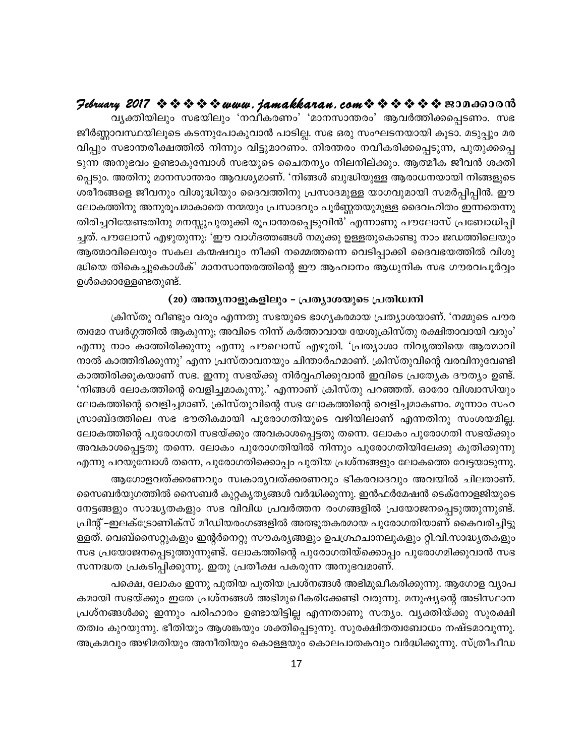#### Hebruary 2017  $\rightsquigarrow \rightsquigarrow \rightsquigarrow \rightsquigarrow$  www.jamakkaran.com  $\rightsquigarrow \rightsquigarrow \rightsquigarrow \rightsquigarrow \rightsquigarrow$  sepands and

വ്യക്തിയിലും സഭയിലും 'നവീകരണം' 'മാനസാന്തരം' ആവർത്തിക്കപ്പെടണം. സഭ ജീർണ്ണാവസ്ഥയിലൂടെ കടന്നുപോകുവാൻ പാടില്ല. സഭ ഒരു സംഘടനയായി കൂടാ. മടുപ്പും മര വിപ്പും സഭാന്തരീക്ഷത്തിൽ നിന്നും വിട്ടുമാറണം. നിരന്തരം നവീകരിക്കപ്പെടുന്ന, പുതുക്കപ്പെ ടുന്ന അനുഭവം ഉണ്ടാകുമ്പോൾ സഭയുടെ ചൈതന്യം നിലനില്ക്കും. ആത്മീക ജീവൻ ശക്തി പ്പെടും. അതിനു മാനസാന്തരം ആവശ്യമാണ്. 'നിങ്ങൾ ബുദ്ധിയുള്ള ആരാധനയായി നിങ്ങളുടെ ശരീരങ്ങളെ ജീവനും വിശുദ്ധിയും ദൈവത്തിനു പ്രസാദമുള്ള യാഗവുമായി സമർപ്പിപ്പിൻ. ഈ ലോകത്തിനു അനുരൂപമാകാതെ നന്മയും പ്രസാദവും പൂർണ്ണതയുമുള്ള ദൈവഹിതം ഇന്നതെന്നു തിരിച്ചറിയേണ്ടതിനു മനസ്സുപുതുക്കി രൂപാന്തരപ്പെടുവിൻ' എന്നാണു പൗലോസ് പ്രബോധിപ്പി ച്ചത്. പൗലോസ് എഴുതുന്നു: 'ഈ വാഗ്ദത്തങ്ങൾ നമുക്കു ഉള്ളതുകൊണ്ടു നാം ജഡത്തിലെയും ആത്മാവിലെയും സകല കന്മഷവും നീക്കി നമ്മെത്തന്നെ വെടിപ്പാക്കി ദൈവഭയത്തിൽ വിശു ദ്ധിയെ തികെച്ചുകൊൾക്' മാനസാന്തരത്തിന്റെ ഈ ആഹ്വാനം ആധുനിക സഭ ഗൗരവപൂർവ്വം ഉൾക്കൊള്ളേണ്ടതുണ്ട്.

#### (20) അന്ത്യനാളുകളിലും - പ്രത്യാശയുടെ പ്രതിധ്വനി

ക്രിസ്തു വീണ്ടും വരും എന്നതു സഭയുടെ ഭാഗൃകരമായ പ്രത്യാശയാണ്. 'നമ്മുടെ പൗര ത്വമോ സ്വർഗ്ഗത്തിൽ ആകുന്നു; അവിടെ നിന്ന് കർത്താവായ യേശുക്രിസ്തു രക്ഷിതാവായി വരും' എന്നു നാം കാത്തിരിക്കുന്നു എന്നു പൗലൊസ് എഴുതി. 'പ്രത്യാശാ നിവൃത്തിയെ ആത്മാവി നാൽ കാത്തിരിക്കുന്നു' എന്ന പ്രസ്താവനയും ചിന്താർഹമാണ്. ക്രിസ്തുവിന്റെ വരവിനുവേണ്ടി കാത്തിരിക്കുകയാണ് സഭ. ഇന്നു സഭയ്ക്കു നിർവ്വഹിക്കുവാൻ ഇവിടെ പ്രത്യേക ദൗത്യം ഉണ്ട്. 'നിങ്ങൾ ലോകത്തിന്റെ വെളിച്ചമാകുന്നു.' എന്നാണ് ക്രിസ്തു പറഞ്ഞത്. ഓരോ വിശ്വാസിയും ലോകത്തിന്റെ വെളിച്ചമാണ്. ക്രിസ്തുവിന്റെ സഭ ലോകത്തിന്റെ വെളിച്ചമാകണം. മൂന്നാം സഹ സ്രാബ്ദത്തിലെ സഭ ഭൗതികമായി പുരോഗതിയുടെ വഴിയിലാണ് എന്നതിനു സംശയമില്ല. ലോകത്തിന്റെ പുരോഗതി സഭയ്ക്കും അവകാശപ്പെട്ടതു തന്നെ. ലോകം പുരോഗതി സഭയ്ക്കും അവകാശപ്പെട്ടതു തന്നെ. ലോകം പുരോഗതിയിൽ നിന്നും പുരോഗതിയിലേക്കു കുതിക്കുന്നു എന്നു പറയുമ്പോൾ തന്നെ, പുരോഗതിക്കൊപ്പം പുതിയ പ്രശ്നങ്ങളും ലോകത്തെ വേട്ടയാടുന്നു.

ആഗോളവത്ക്കരണവും സ്വകാര്യവത്ക്കരണവും ഭീകരവാദവും അവയിൽ ചിലതാണ്. സൈബർയുഗത്തിൽ സൈബർ കുറ്റകൃത്യങ്ങൾ വർദ്ധിക്കുന്നു. ഇൻഫർമേഷൻ ടെക്നോളജിയുടെ നേട്ടങ്ങളും സാദ്ധ്യതകളും സഭ വിവിധ പ്രവർത്തന രംഗങ്ങളിൽ പ്രയോജനപ്പെടുത്തുന്നുണ്ട്. പ്രിന്റ്–ഇലക്ട്രോണിക്സ് മീഡിയരംഗങ്ങളിൽ അത്ഭുതകരമായ പുരോഗതിയാണ് കൈവരിച്ചിട്ടു ള്ളത്. വെബ്സൈറ്റുകളും ഇന്റർനെറ്റു സൗകര്യങ്ങളും ഉപഗ്രഹചാനലുകളും റ്റി.വി.സാദ്ധ്യതകളും സഭ പ്രയോജനപ്പെടുത്തുന്നുണ്ട്. ലോകത്തിന്റെ പുരോഗതിയ്ക്കൊപ്പം പുരോഗമിക്കുവാൻ സഭ സന്നദ്ധത പ്രകടിപ്പിക്കുന്നു. ഇതു പ്രതീക്ഷ പകരുന്ന അനുഭവമാണ്.

പക്ഷെ, ലോകം ഇന്നു പുതിയ പുതിയ പ്രശ്നങ്ങൾ അഭിമുഖീകരിക്കുന്നു. ആഗോള വ്യാപ കമായി സഭയ്ക്കും ഇതേ പ്രശ്നങ്ങൾ അഭിമുഖീകരിക്കേണ്ടി വരുന്നു. മനുഷ്യന്റെ അടിസ്ഥാന പ്രശ്നങ്ങൾക്കു ഇന്നും പരിഹാരം ഉണ്ടായിട്ടില്ല എന്നതാണു സത്യം. വ്യക്തിയ്ക്കു സുരക്ഷി തത്വം കുറയുന്നു. ഭീതിയും ആശങ്കയും ശക്തിപ്പെടുന്നു. സുരക്ഷിതത്വബോധം നഷ്ടമാവുന്നു. അക്രമവും അഴിമതിയും അനീതിയും കൊള്ളയും കൊലപാതകവും വർദ്ധിക്കുന്നു. സ്ത്രീപീഡ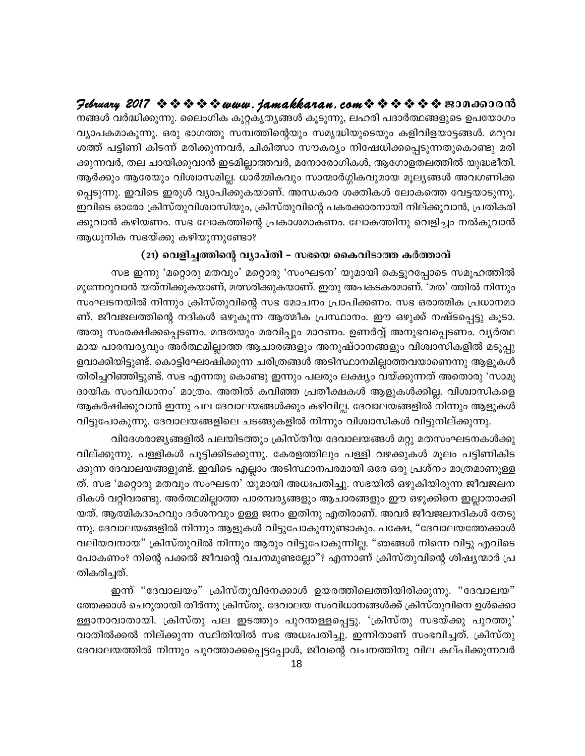$\mathcal P$ ebruary 2017  $\rightsquigarrow \rightsquigarrow \rightsquigarrow \rightsquigarrow$  www.jamakkaran.com  $\rightsquigarrow \rightsquigarrow \rightsquigarrow \rightsquigarrow \rightsquigarrow$  nononono നങ്ങൾ വർദ്ധിക്കുന്നു. ലൈംഗിക കുറ്റകൃത്യങ്ങൾ കൂടുന്നു, ലഹരി പദാർത്ഥങ്ങളുടെ ഉപയോഗം വ്യാപകമാകുന്നു. ഒരു ഭാഗത്തു സമ്പത്തിന്റെയും സമൃദ്ധിയുടെയും കളിവിളയാട്ടങ്ങൾ. മറുവ ശത്ത് പട്ടിണി കിടന്ന് മരിക്കുന്നവർ, ചികിത്സാ സൗകര്യം നിഷേധിക്കപ്പെടുന്നതുകൊണ്ടു മരി ക്കുന്നവർ, തല ചായിക്കുവാൻ ഇടമില്ലാത്തവർ, മനോരോഗികൾ, ആഗോളതലത്തിൽ യുദ്ധഭീതി. ആർക്കും ആരേയും വിശ്വാസമില്ല. ധാർമ്മികവും സാന്മാർഗ്ഗികവുമായ മൂല്യങ്ങൾ അവഗണിക്ക പ്പെടുന്നു. ഇവിടെ ഇരുൾ വ്യാപിക്കുകയാണ്. അന്ധകാര ശക്തികൾ ലോകത്തെ വേട്ടയാടുന്നു. ഇവിടെ ഓരോ ക്രിസ്തുവിശ്വാസിയും, ക്രിസ്തുവിന്റെ പകരക്കാരനായി നില്ക്കുവാൻ, പ്രതികരി ക്കുവാൻ കഴിയണം. സഭ ലോകത്തിന്റെ പ്രകാശമാകണം. ലോകത്തിനു വെളിച്ചം നൽകുവാൻ ആധുനിക സഭയ്ക്കു കഴിയുന്നുണ്ടോ?

#### (21) വെളിച്ചത്തിന്റെ വ്യാപ്തി – സഭയെ കൈവിടാത്ത കർത്താവ്

സഭ ഇന്നു 'മറ്റൊരു മതവും' മറ്റൊരു 'സംഘടന' യുമായി കെട്ടുറപ്പോടെ സമൂഹത്തിൽ മുന്നേറുവാൻ യത്നിക്കുകയാണ്, മത്സരിക്കുകയാണ്. ഇതു അപകടകരമാണ്. 'മത' ത്തിൽ നിന്നും സംഘടനയിൽ നിന്നും ക്രിസ്തുവിന്റെ സഭ മോചനം പ്രാപിക്കണം. സഭ ഒരാത്മിക പ്രധാനമാ ണ്. ജീവജലത്തിന്റെ നദികൾ ഒഴുകുന്ന ആത്മീക പ്രസ്ഥാനം. ഈ ഒഴുക്ക് നഷ്ടപ്പെട്ടു കൂടാ. അതു സംരക്ഷിക്കപ്പെടണം. മന്ദതയും മരവിപ്പും മാറണം. ഉണർവ്വ് അനുഭവപ്പെടണം. വ്യർത്ഥ മായ പാരമ്പര്യവും അർത്ഥമില്ലാത്ത ആചാരങ്ങളും അനുഷ്ഠാനങ്ങളും വിശ്വാസികളിൽ മടുപ്പു ളവാക്കിയിട്ടുണ്ട്. കൊട്ടിഘോഷിക്കുന്ന ചരിത്രങ്ങൾ അടിസ്ഥാനമില്ലാത്തവയാണെന്നു ആളുകൾ തിരിച്ചറിഞ്ഞിട്ടുണ്ട്. സഭ എന്നതു കൊണ്ടു ഇന്നും പലരും ലക്ഷ്യം വയ്ക്കുന്നത് അതൊരു 'സാമു ദായിക സംവിധാനം' മാത്രം. അതിൽ കവിഞ്ഞ പ്രതീക്ഷകൾ ആളുകൾക്കില്ല. വിശ്വാസികളെ ആകർഷിക്കുവാൻ ഇന്നു പല ദേവാലയങ്ങൾക്കും കഴിവില്ല. ദേവാലയങ്ങളിൽ നിന്നും ആളുകൾ വിട്ടുപോകുന്നു. ദേവാലയങ്ങളിലെ ചടങ്ങുകളിൽ നിന്നും വിശ്വാസികൾ വിട്ടുനില്ക്കുന്നു.

വിദേശരാജ്യങ്ങളിൽ പലയിടത്തും ക്രിസ്തീയ ദേവാലയങ്ങൾ മറ്റു മതസംഘടനകൾക്കു വില്ക്കുന്നു. പള്ളികൾ പൂട്ടിക്കിടക്കുന്നു. കേരളത്തിലും പള്ളി വഴക്കുകൾ മൂലം പട്ടിണികിട ക്കുന്ന ദേവാലയങ്ങളുണ്ട്. ഇവിടെ എല്ലാം അടിസ്ഥാനപരമായി ഒരേ ഒരു പ്രശ്നം മാത്രമാണുള്ള ത്. സഭ 'മറ്റൊരു മതവും സംഘടന' യുമായി അധഃപതിച്ചു. സഭയിൽ ഒഴുകിയിരുന്ന ജീവജലന ദികൾ വറ്റിവരണ്ടു. അർത്ഥമില്ലാത്ത പാരമ്പര്യങ്ങളും ആചാരങ്ങളും ഈ ഒഴുക്കിനെ ഇല്ലാതാക്കി യത്. ആത്മികദാഹവും ദർശനവും ഉള്ള ജനം ഇതിനു എതിരാണ്. അവർ ജീവജലനദികൾ തേടു ന്നു. ദേവാലയങ്ങളിൽ നിന്നും ആളുകൾ വിട്ടുപോകുന്നുണ്ടാകും. പക്ഷേ, "ദേവാലയത്തേക്കാൾ വലിയവനായ" ക്രിസ്തുവിൽ നിന്നും ആരും വിട്ടുപോകുന്നില്ല. "ഞങ്ങൾ നിന്നെ വിട്ടു എവിടെ പോകണം? നിന്റെ പക്കൽ ജീവന്റെ വചനമുണ്ടല്ലോ"? എന്നാണ് ക്രിസ്തുവിന്റെ ശിഷ്യന്മാർ പ്ര തികരിച്ചത്.

ഇന്ന് "ദേവാലയം" ക്രിസ്തുവിനേക്കാൾ ഉയരത്തിലെത്തിയിരിക്കുന്നു. "ദേവാലയ" ത്തേക്കാൾ ചെറുതായി തീർന്നു ക്രിസ്തു. ദേവാലയ സംവിധാനങ്ങൾക്ക് ക്രിസ്തുവിനെ ഉൾക്കൊ ള്ളാനാവാതായി. ക്രിസ്തു പല ഇടത്തും പുറന്തള്ളപ്പെട്ടു. 'ക്രിസ്തു സഭയ്ക്കു പുറത്തു' വാതിൽക്കൽ നില്ക്കുന്ന സ്ഥിതിയിൽ സഭ അധഃപതിച്ചു. ഇന്നിതാണ് സംഭവിച്ചത്. ക്രിസ്തു ദേവാലയത്തിൽ നിന്നും പുറത്താക്കപ്പെട്ടപ്പോൾ, ജീവന്റെ വചനത്തിനു വില കല്പിക്കുന്നവർ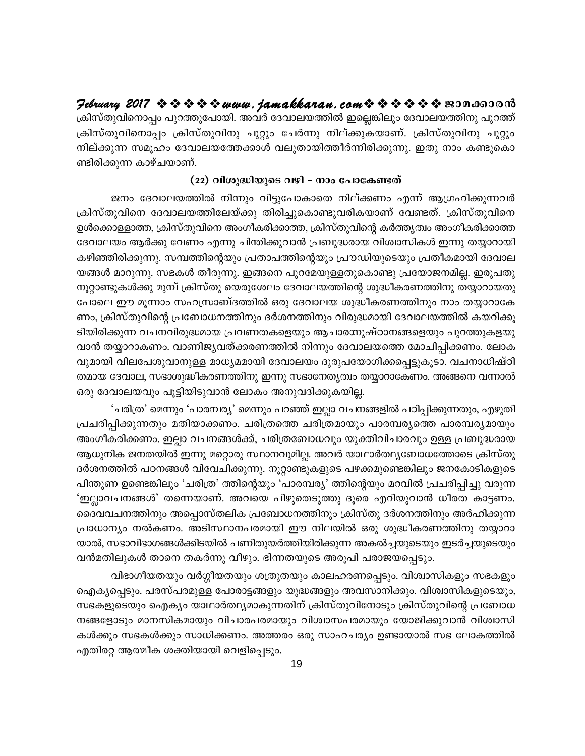## Jebruary 2017 ☆☆☆☆☆ www.jamakkaran.com☆☆☆☆☆☆ 201000000

ക്രിസ്തുവിനൊപ്പം പുറത്തുപോയി. അവർ ദേവാലയത്തിൽ ഇല്ലെങ്കിലും ദേവാലയത്തിനു പുറത്ത് ക്രിസ്തുവിനൊപ്പം ക്രിസ്തുവിനു ചുറ്റും ചേർന്നു നില്ക്കുകയാണ്. ക്രിസ്തുവിനു ചുറ്റും നില്ക്കുന്ന സമൂഹം ദേവാലയത്തേക്കാൾ വലുതായിത്തീർന്നിരിക്കുന്നു. ഇതു നാം കണ്ടുകൊ ണ്ടിരിക്കുന്ന കാഴ്ചയാണ്.

#### (22) വിശുദ്ധിയുടെ വഴി – നാം പോകേണ്ടത്

ജനം ദേവാലയത്തിൽ നിന്നും വിട്ടുപോകാതെ നില്ക്കണം എന്ന് ആഗ്രഹിക്കുന്നവർ ക്രിസ്തുവിനെ ദേവാലയത്തിലേയ്ക്കു തിരിച്ചുകൊണ്ടുവരികയാണ് വേണ്ടത്. ക്രിസ്തുവിനെ ഉൾക്കൊള്ളാത്ത, ക്രിസ്തുവിനെ അംഗീകരിക്കാത്ത, ക്രിസ്തുവിന്റെ കർത്തൃത്വം അംഗീകരിക്കാത്ത ദേവാലയം ആർക്കു വേണം എന്നു ചിന്തിക്കുവാൻ പ്രബുദ്ധരായ വിശ്വാസികൾ ഇന്നു തയ്യാറായി കഴിഞ്ഞിരിക്കുന്നു. സമ്പത്തിന്റെയും പ്രതാപത്തിന്റെയും പ്രൗഡിയുടെയും പ്രതീകമായി ദേവാല യങ്ങൾ മാറുന്നു. സഭകൾ തീരുന്നു. ഇങ്ങനെ പുറമേയുള്ളതുകൊണ്ടു പ്രയോജനമില്ല. ഇരുപതു നൂറ്റാണ്ടുകൾക്കു മുമ്പ് ക്രിസ്തു യെരുശേലം ദേവാലയത്തിന്റെ ശുദ്ധീകരണത്തിനു തയ്യാറായതു പോലെ ഈ മൂന്നാം സഹസ്രാബ്ദത്തിൽ ഒരു ദേവാലയ ശുദ്ധീകരണത്തിനും നാം തയ്യാറാകേ ണം, ക്രിസ്തുവിന്റെ പ്രബോധനത്തിനും ദർശനത്തിനും വിരുദ്ധമായി ദേവാലയത്തിൽ കയറിക്കൂ ടിയിരിക്കുന്ന വചനവിരുദ്ധമായ പ്രവണതകളെയും ആചാരന്നുഷ്ഠാനങ്ങളെയും പുറത്തുകളയു വാൻ തയ്യാറാകണം. വാണിജ്യവത്ക്കരണത്തിൽ നിന്നും ദേവാലയത്തെ മോചിപ്പിക്കണം. ലോക വുമായി വിലപേശുവാനുള്ള മാധ്യമമായി ദേവാലയം ദുരുപയോഗിക്കപ്പെട്ടുകൂടാ. വചനാധിഷ്ഠി തമായ ദേവാല, സഭാശുദ്ധീകരണത്തിനു ഇന്നു സഭാനേതൃത്വം തയ്യാറാകേണം. അങ്ങനെ വന്നാൽ ഒരു ദേവാലയവും പൂട്ടിയിടുവാൻ ലോകം അനുവദിക്കുകയില്ല.

'ചരിത്ര' മെന്നും 'പാരമ്പര്യ' മെന്നും പറഞ്ഞ് ഇല്ലാ വചനങ്ങളിൽ പഠിപ്പിക്കുന്നതും, എഴുതി പ്രചരിപ്പിക്കുന്നതും മതിയാക്കണം. ചരിത്രത്തെ ചരിത്രമായും പാരമ്പര്യത്തെ പാരമ്പര്യമായും അംഗീകരിക്കണം. ഇല്ലാ വചനങ്ങൾക്ക്, ചരിത്രബോധവും യുക്തിവിചാരവും ഉള്ള പ്രബുദ്ധരായ ആധുനിക ജനതയിൽ ഇന്നു മറ്റൊരു സ്ഥാനവുമില്ല. അവർ യാഥാർത്ഥ്യബോധത്തോടെ ക്രിസ്തു ദർശനത്തിൽ പഠനങ്ങൾ വിവേചിക്കുന്നു. നൂറ്റാണ്ടുകളുടെ പഴക്കമുണ്ടെങ്കിലും ജനകോടികളുടെ പിന്തുണ ഉണ്ടെങ്കിലും 'ചരിത്ര' ത്തിന്റെയും 'പാരമ്പര്യ' ത്തിന്റെയും മറവിൽ പ്രചരിപ്പിച്ചു വരുന്ന 'ഇല്ലാവചനങ്ങൾ' തന്നെയാണ്. അവയെ പിഴുതെടുത്തു ദൂരെ എറിയുവാൻ ധീരത കാട്ടണം. ദൈവവചനത്തിനും അപ്പൊസ്തലിക പ്രബോധനത്തിനും ക്രിസ്തു ദർശനത്തിനും അർഹിക്കുന്ന പ്രാധാന്യം നൽകണം. അടിസ്ഥാനപരമായി ഈ നിലയിൽ ഒരു ശുദ്ധീകരണത്തിനു തയ്യാറാ യാൽ, സഭാവിഭാഗങ്ങൾക്കിടയിൽ പണിതുയർത്തിയിരിക്കുന്ന അകൽച്ചയുടെയും ഇടർച്ചയുടെയും വൻമതിലുകൾ താനെ തകർന്നു വീഴും. ഭിന്നതയുടെ അരൂപി പരാജയപ്പെടും.

വിഭാഗീയതയും വർഗ്ഗീയതയും ശത്രുതയും കാലഹരണപ്പെടും. വിശ്വാസികളും സഭകളും ഐക്യപ്പെടും. പരസ്പരമുള്ള പോരാട്ടങ്ങളും യുദ്ധങ്ങളും അവസാനിക്കും. വിശ്വാസികളുടെയും, സഭകളുടെയും ഐക്യം യാഥാർത്ഥ്യമാകുന്നതിന് ക്രിസ്തുവിനോടും ക്രിസ്തുവിന്റെ പ്രബോധ നങ്ങളോടും മാനസികമായും വിചാരപരമായും വിശ്വാസപരമായും യോജിക്കുവാൻ വിശ്വാസി കൾക്കും സഭകൾക്കും സാധിക്കണം. അത്തരം ഒരു സാഹചര്യം ഉണ്ടായാൽ സഭ ലോകത്തിൽ എതിരറ്റ ആത്മീക ശക്തിയായി വെളിപ്പെടും.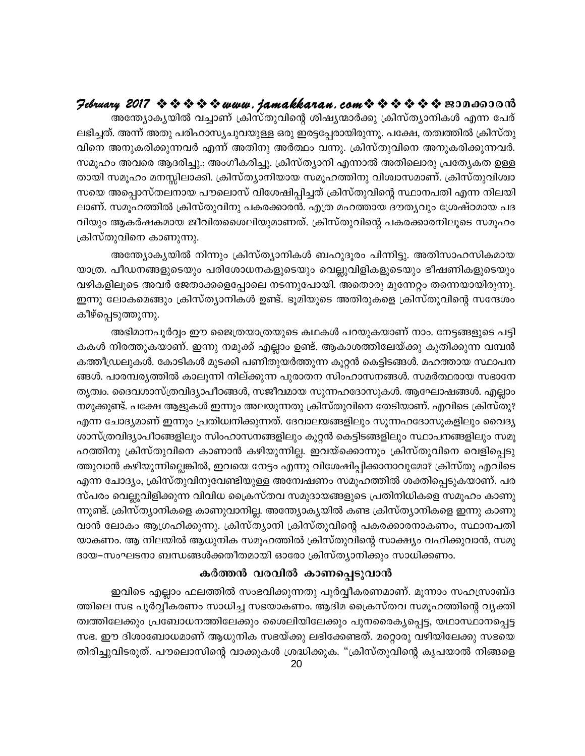## 

.<br>അന്ത്യോകൃയിൽ വച്ചാണ് ക്രിസ്തുവിന്റെ ശിഷ്യന്മാർക്കു ക്രിസ്ത്യാനികൾ എന്ന പേര് ലഭിച്ചത്. അന്ന് അതു പരിഹാസ്യചുവയുള്ള ഒരു ഇരട്ടപ്പേരായിരുന്നു. പക്ഷേ, തത്വത്തിൽ ക്രിസ്തു വിനെ അനുകരിക്കുന്നവർ എന്ന് അതിനു അർത്ഥം വന്നു. ക്രിസ്തുവിനെ അനുകരിക്കുന്നവർ. സമൂഹം അവരെ ആദരിച്ചു.; അംഗീകരിച്ചു. ക്രിസ്ത്യാനി എന്നാൽ അതിലൊരു പ്രത്യേകത ഉള്ള തായി സമൂഹം മനസ്സിലാക്കി. ക്രിസ്ത്യാനിയായ സമൂഹത്തിനു വിശ്വാസമാണ്. ക്രിസ്തുവിശ്വാ സയെ അപ്പൊസ്തലനായ പൗലൊസ് വിശേഷിപ്പിച്ചത് ക്രിസ്തുവിന്റെ സ്ഥാനപതി എന്ന നിലയി ലാണ്. സമൂഹത്തിൽ ക്രിസ്തുവിനു പകരക്കാരൻ. എത്ര മഹത്തായ ദൗതൃവും ശ്രേഷ്ഠമായ പദ വിയും ആകർഷകമായ ജീവിതശൈലിയുമാണത്. ക്രിസ്തുവിന്റെ പകരക്കാരനിലൂടെ സമൂഹം ക്രിസ്തുവിനെ കാണുന്നു.

അന്ത്യോകൃയിൽ നിന്നും ക്രിസ്ത്യാനികൾ ബഹുദൂരം പിന്നിട്ടു. അതിസാഹസികമായ യാത്ര. പീഡനങ്ങളുടെയും പരിശോധനകളുടെയും വെല്ലുവിളികളുടെയും ഭീഷണികളുടെയും വഴികളിലൂടെ അവർ ജേതാക്കളെപ്പോലെ നടന്നുപോയി. അതൊരു മുന്നേറ്റം തന്നെയായിരുന്നു. ഇന്നു ലോകമെങ്ങും ക്രിസ്ത്യാനികൾ ഉണ്ട്. ഭൂമിയുടെ അതിരുകളെ ക്രിസ്തുവിന്റെ സന്ദേശം കീഴ്പ്പെടുത്തുന്നു.

അഭിമാനപൂർവ്വം ഈ ജൈത്രയാത്രയുടെ കഥകൾ പറയുകയാണ് നാം. നേട്ടങ്ങളുടെ പട്ടി കകൾ നിരത്തുകയാണ്. ഇന്നു നമുക്ക് എല്ലാം ഉണ്ട്. ആകാശത്തിലേയ്ക്കു കുതിക്കുന്ന വമ്പൻ കത്തീഡ്രലുകൾ. കോടികൾ മുടക്കി പണിതുയർത്തുന്ന കൂറ്റൻ കെട്ടിടങ്ങൾ. മഹത്തായ സ്ഥാപന ങ്ങൾ. പാരമ്പരൃത്തിൽ കാലൂന്നി നില്ക്കുന്ന പുരാതന സിംഹാസനങ്ങൾ. സമർത്ഥരായ സഭാനേ തൃത്വം. ദൈവശാസ്ത്രവിദ്യാപീഠങ്ങൾ, സജീവമായ സുന്നഹദോസുകൾ. ആഘോഷങ്ങൾ. എല്ലാം നമുക്കുണ്ട്. പക്ഷേ ആളുകൾ ഇന്നും അലയുന്നതു ക്രിസ്തുവിനെ തേടിയാണ്. എവിടെ ക്രിസ്തു? എന്ന ചോദ്യമാണ് ഇന്നും പ്രതിധ്വനിക്കുന്നത്. ദേവാലയങ്ങളിലും സുന്നഹദോസുകളിലും വൈദ്യ ശാസ്ത്രവിദ്യാപീഠങ്ങളിലും സിംഹാസനങ്ങളിലും കൂറ്റൻ കെട്ടിടങ്ങളിലും സ്ഥാപനങ്ങളിലും സമൂ ഹത്തിനു ക്രിസ്തുവിനെ കാണാൻ കഴിയുന്നില്ല. ഇവയ്ക്കൊന്നും ക്രിസ്തുവിനെ വെളിപ്പെടു ത്തുവാൻ കഴിയുന്നില്ലെങ്കിൽ, ഇവയെ നേട്ടം എന്നു വിശേഷിപ്പിക്കാനാവുമോ? ക്രിസ്തു എവിടെ എന്ന ചോദ്യം, ക്രിസ്തുവിനുവേണ്ടിയുള്ള അന്വേഷണം സമൂഹത്തിൽ ശക്തിപ്പെടുകയാണ്. പര സ്പരം വെല്ലുവിളിക്കുന്ന വിവിധ ക്രൈസ്തവ സമുദായങ്ങളുടെ പ്രതിനിധികളെ സമൂഹം കാണു ന്നുണ്ട്. ക്രിസ്ത്യാനികളെ കാണുവാനില്ല. അന്ത്യോകൃയിൽ കണ്ട ക്രിസ്ത്യാനികളെ ഇന്നു കാണു വാൻ ലോകം ആഗ്രഹിക്കുന്നു. ക്രിസ്ത്യാനി ക്രിസ്തുവിന്റെ പകരക്കാരനാകണം, സ്ഥാനപതി യാകണം. ആ നിലയിൽ ആധുനിക സമൂഹത്തിൽ ക്രിസ്തുവിന്റെ സാക്ഷ്യം വഹിക്കുവാൻ, സമു ദായ–സംഘടനാ ബന്ധങ്ങൾക്കതീതമായി ഓരോ ക്രിസ്ത്യാനിക്കും സാധിക്കണം.

#### കർത്തൻ വരവിൽ കാണപ്പെടുവാൻ

ഇവിടെ എല്ലാം ഫലത്തിൽ സംഭവിക്കുന്നതു പൂർവ്വീകരണമാണ്. മൂന്നാം സഹസ്രാബ്ദ ത്തിലെ സഭ പൂർവ്വീകരണം സാധിച്ച സഭയാകണം. ആദിമ ക്രൈസ്തവ സമൂഹത്തിന്റെ വ്യക്തി ത്വത്തിലേക്കും പ്രബോധനത്തിലേക്കും ശൈലിയിലേക്കും പുനരൈക്യപ്പെട്ട, യഥാസ്ഥാനപ്പെട്ട സഭ. ഈ ദിശാബോധമാണ് ആധുനിക സഭയ്ക്കു ലഭിക്കേണ്ടത്. മറ്റൊരു വഴിയിലേക്കു സഭയെ തിരിച്ചുവിടരുത്. പൗലൊസിന്റെ വാക്കുകൾ ശ്രദ്ധിക്കുക. "ക്രിസ്തുവിന്റെ കൃപയാൽ നിങ്ങളെ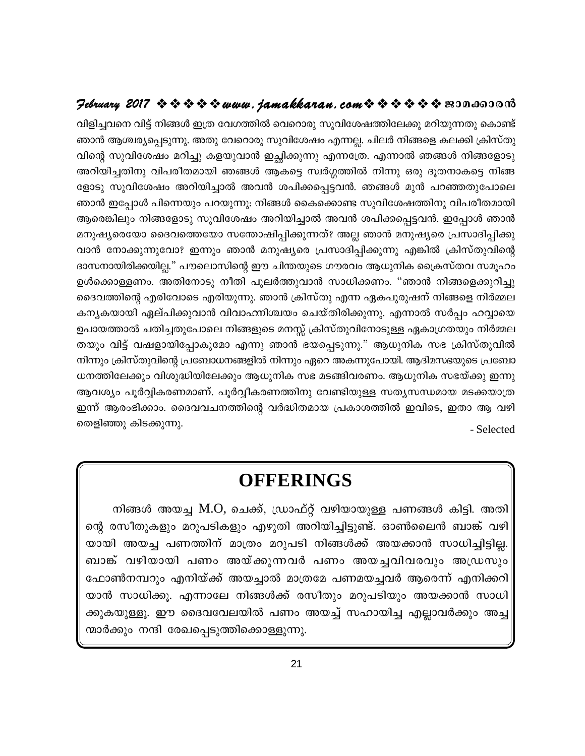## $\mathcal{P}$ ebruary 2017  $\rightsquigarrow \rightsquigarrow \rightsquigarrow \rightsquigarrow www.$  jamakkaran.com $\rightsquigarrow \rightsquigarrow \rightsquigarrow \rightsquigarrow \rightsquigarrow \rightsquigarrow \text{exon}$

വിളിച്ചവനെ വിട്ട് നിങ്ങൾ ഇത്ര വേഗത്തിൽ വെറൊരു സുവിശേഷത്തിലേക്കു മറിയുന്നതു കൊണ്ട് ഞാൻ ആശ്ചര്യപ്പെടുന്നു. അതു വേറൊരു സുവിശേഷം എന്നല്ല. ചിലർ നിങ്ങളെ കലക്കി ക്രിസ്തു വിന്റെ സുവിശേഷം മറിച്ചു കളയുവാൻ ഇച്ഛിക്കുന്നു എന്നത്രേ. എന്നാൽ ഞങ്ങൾ നിങ്ങളോടു അറിയിച്ചതിനു വിപരീതമായി ഞങ്ങൾ ആകട്ടെ സ്വർഗ്ഗത്തിൽ നിന്നു ഒരു ദൂതനാകട്ടെ നിങ്ങ ളോടു സുവിശേഷം അറിയിച്ചാൽ അവൻ ശപിക്കപ്പെട്ടവൻ. ഞങ്ങൾ മുൻ പറഞ്ഞതുപോലെ ഞാൻ ഇപ്പോൾ പിന്നെയും പറയുന്നു: നിങ്ങൾ കൈക്കൊണ്ട സുവിശേഷത്തിനു വിപരീതമായി ആരെങ്കിലും നിങ്ങളോടു സുവിശേഷം അറിയിച്ചാൽ അവൻ ശപിക്കപ്പെട്ടവൻ. ഇപ്പോൾ ഞാൻ മനുഷ്യരെയോ ദൈവത്തെയോ സന്തോഷിപ്പിക്കുന്നത്? അല്ല ഞാൻ മനുഷ്യരെ പ്രസാദിപ്പിക്കു വാൻ നോക്കുന്നുവോ? ഇന്നും ഞാൻ മനുഷ്യരെ പ്രസാദിപ്പിക്കുന്നു എങ്കിൽ ക്രിസ്തുവിന്റെ ദാസനായിരിക്കയില്ല." പൗലൊസിന്റെ ഈ ചിന്തയുടെ ഗൗരവം ആധുനിക ക്രൈസ്തവ സമൂഹം ഉൾക്കൊള്ളണം. അതിനോടു നീതി പുലർത്തുവാൻ സാധിക്കണം. "ഞാൻ നിങ്ങളെക്കുറിച്ചു ദൈവത്തിന്റെ എരിവോടെ എരിയുന്നു. ഞാൻ ക്രിസ്തു എന്ന ഏകപുരുഷന് നിങ്ങളെ നിർമ്മല കന്യകയായി ഏല്പിക്കുവാൻ വിവാഹനിശ്ചയം ചെയ്തിരിക്കുന്നു. എന്നാൽ സർപ്പം ഹവ്വായെ ഉപായത്താൽ ചതിച്ചതുപോലെ നിങ്ങളുടെ മനസ്സ് ക്രിസ്തുവിനോടുള്ള ഏകാഗ്രതയും നിർമ്മല തയും വിട്ട് വഷളായിപ്പോകുമോ എന്നു ഞാൻ ഭയപ്പെടുന്നു." ആധുനിക സഭ ക്രിസ്തുവിൽ നിന്നും ക്രിസ്തുവിന്റെ പ്രബോധനങ്ങളിൽ നിന്നും ഏറെ അകന്നുപോയി. ആദിമസഭയുടെ പ്രബോ ധനത്തിലേക്കും വിശുദ്ധിയിലേക്കും ആധുനിക സഭ മടങ്ങിവരണം. ആധുനിക സഭയ്ക്കു ഇന്നു ആവശ്യം പൂർവ്വികരണമാണ്. പൂർവ്വീകരണത്തിനു വേണ്ടിയുള്ള സത്യസന്ധമായ മടക്കയാത്ര ഇന്ന് ആരംഭിക്കാം. ദൈവവചനത്തിന്റെ വർദ്ധിതമായ പ്രകാശത്തിൽ ഇവിടെ, ഇതാ ആ വഴി തെളിഞ്ഞു കിടക്കുന്നു. - Selected

## **OFFERINGS**

നിങ്ങൾ അയച്ച M.O, ചെക്ക്, ഡ്രാഫ്റ്റ് വഴിയായുള്ള പണങ്ങൾ കിട്ടി. അതി ന്റെ രസീതുകളും മറുപടികളും എഴുതി അറിയിച്ചിട്ടുണ്ട്. ഓൺലൈൻ ബാങ്ക് വഴി യായി അയച്ച പണത്തിന് മാത്രം മറുപടി നിങ്ങൾക്ക് അയക്കാൻ സാധിച്ചിട്ടില്ല. ബാങ്ക് വഴിയായി പണം അയ്ക്കുന്നവർ പണം അയച്ചവിവരവും അഡ്രസും ഫോൺനമ്പറും എനിയ്ക്ക് അയച്ചാൽ മാത്രമേ പണമയച്ചവർ ആരെന്ന് എനിക്കറി യാൻ സാധിക്കൂ. എന്നാലേ നിങ്ങൾക്ക് രസീതും മറുപടിയും അയക്കാൻ സാധി ക്കുകയുള്ളൂ. ഈ ദൈവവേലയിൽ പണം അയച്ച് സഹായിച്ച എല്ലാവർക്കും അച്ച ന്മാർക്കും നന്ദി രേഖപ്പെടുത്തിക്കൊള്ളുന്നു.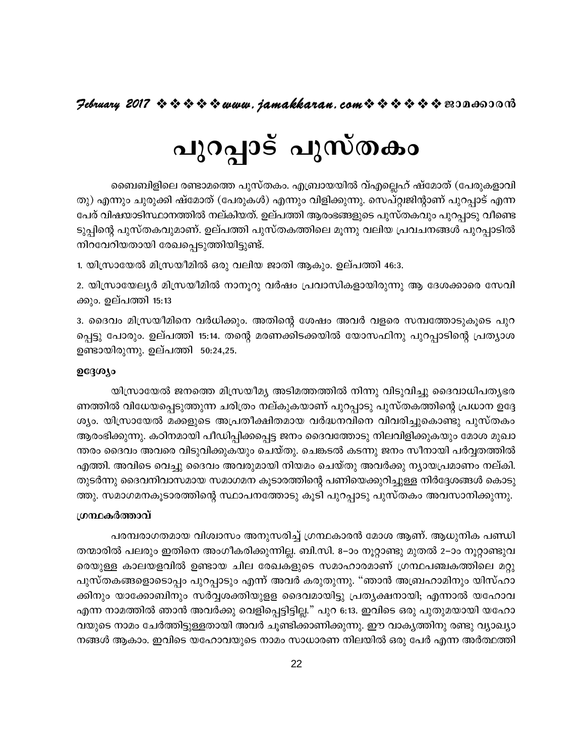# പുറപ്പാട് പുസ്തകം

ബൈബിളിലെ രണ്ടാമത്തെ പുസ്തകം. എബ്രായയിൽ വ്എല്ലെഹ് ഷ്മോത് (പേരുകളാവി തു) എന്നും ചുരുക്കി ഷ്മോത് (പേരുകൾ) എന്നും വിളിക്കുന്നു. സെപ്റ്റ്വജിന്റാണ് പുറപ്പാട് എന്ന പേര് വിഷയാടിസ്ഥാനത്തിൽ നല്കിയത്. ഉല്പത്തി ആരംഭങ്ങളുടെ പുസ്തകവും പുറപ്പാടു വീണ്ടെ ടുപ്പിന്റെ പുസ്തകവുമാണ്. ഉല്പത്തി പുസ്തകത്തിലെ മൂന്നു വലിയ പ്രവചനങ്ങൾ പുറപ്പാടിൽ നിറവേറിയതായി രേഖപ്പെടുത്തിയിട്ടുണ്ട്.

1. യിസ്രായേൽ മിസ്രയീമിൽ ഒരു വലിയ ജാതി ആകും. ഉല്പത്തി 46:3.

2. യിസ്രായേല്യർ മിസ്രയീമിൽ നാനൂറു വർഷം പ്രവാസികളായിരുന്നു ആ ദേശക്കാരെ സേവി ക്കും. ഉല്പത്തി 15:13

3. ദൈവം മിസ്രയീമിനെ വർധിക്കും. അതിന്റെ ശേഷം അവർ വളരെ സമ്പത്തോടുകൂടെ പുറ പ്പെട്ടു പോരും. ഉല്പത്തി 15:14. തന്റെ മരണക്കിടക്കയിൽ യോസഫിനു പുറപ്പാടിന്റെ പ്രത്യാശ ഉണ്ടായിരുന്നു. ഉല്പത്തി 50:24,25.

#### ഉദ്ദേശ്യം

യിസ്രായേൽ ജനത്തെ മിസ്രയീമ്യ അടിമത്തത്തിൽ നിന്നു വിടുവിച്ചു ദൈവാധിപത്യഭര ണത്തിൽ വിധേയപ്പെടുത്തുന്ന ചരിത്രം നല്കുകയാണ് പുറപ്പാടു പുസ്തകത്തിന്റെ പ്രധാന ഉദ്ദേ ശ്യം. യിസ്രായേൽ മക്കളുടെ അപ്രതീക്ഷിതമായ വർദ്ധനവിനെ വിവരിച്ചുകൊണ്ടു പുസ്തകം ആരംഭിക്കുന്നു. കഠിനമായി പീഡിപ്പിക്കപ്പെട്ട ജനം ദൈവത്തോടു നിലവിളിക്കുകയും മോശ മുഖാ ന്തരം ദൈവം അവരെ വിടുവിക്കുകയും ചെയ്തു. ചെങ്കടൽ കടന്നു ജനം സീനായി പർവ്വതത്തിൽ എത്തി. അവിടെ വെച്ചു ദൈവം അവരുമായി നിയമം ചെയ്തു അവർക്കു ന്യായപ്രമാണം നല്കി. തുടർന്നു ദൈവനിവാസമായ സമാഗമന കൂടാരത്തിന്റെ പണിയെക്കുറിച്ചുള്ള നിർദ്ദേശങ്ങൾ കൊടു ത്തു. സമാഗമനകൂടാരത്തിന്റെ സ്ഥാപനത്തോടു കൂടി പുറപ്പാടു പുസ്തകം അവസാനിക്കുന്നു.

#### ശ്രന്ഥകർത്താവ്

പരമ്പരാഗതമായ വിശ്വാസം അനുസരിച്ച് ഗ്രന്ഥകാരൻ മോശ ആണ്. ആധുനിക പണ്ഡി തന്മാരിൽ പലരും ഇതിനെ അംഗീകരിക്കുന്നില്ല. ബി.സി. 8–ാം നൂറ്റാണ്ടു മുതൽ 2–ാം നൂറ്റാണ്ടുവ രെയുള്ള കാലയളവിൽ ഉണ്ടായ ചില രേഖകളുടെ സമാഹാരമാണ് ഗ്രന്ഥപഞ്ചകത്തിലെ മറ്റു പുസ്തകങ്ങളൊടൊപ്പം പുറപ്പാടും എന്ന് അവർ കരുതുന്നു. "ഞാൻ അബ്രഹാമിനും യിസ്ഹാ ക്കിനും യാക്കോബിനും സർവ്വശക്തിയുള്ള ദൈവമായിട്ടു പ്രത്യക്ഷനായി; എന്നാൽ യഹോവ എന്ന നാമത്തിൽ ഞാൻ അവർക്കു വെളിപ്പെട്ടിട്ടില്ല." പുറ 6:13. ഇവിടെ ഒരു പുതുമയായി യഹോ വയുടെ നാമം ചേർത്തിട്ടുള്ളതായി അവർ ചുണ്ടിക്കാണിക്കുന്നു. ഈ വാകൃത്തിനു രണ്ടു വ്യാഖ്യാ നങ്ങൾ ആകാം. ഇവിടെ യഹോവയുടെ നാമം സാധാരണ നിലയിൽ ഒരു പേർ എന്ന അർത്ഥത്തി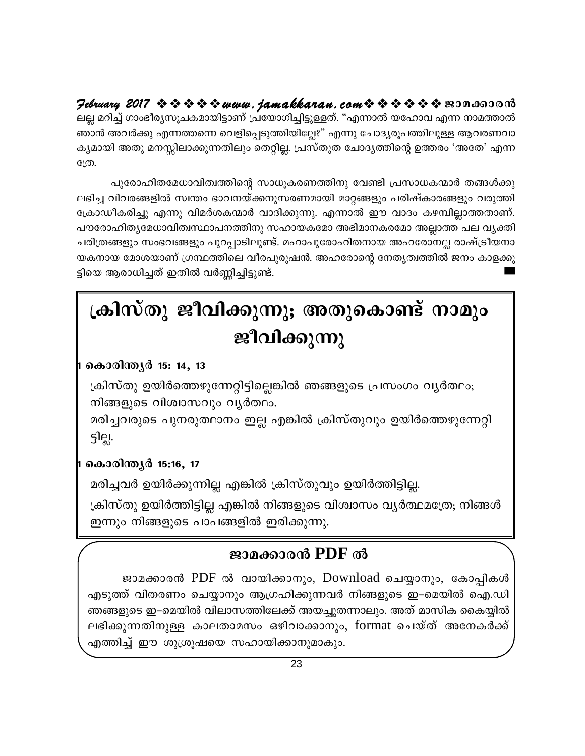February 2017  $\rightsquigarrow \rightsquigarrow \rightsquigarrow \rightsquigarrow www.$  jamakkaran. com $\rightsquigarrow \rightsquigarrow \rightsquigarrow \rightsquigarrow \rightsquigarrow \rightsquigarrow \text{exp}$ ലല്ല മറിച്ച് ഗാംഭീര്യസൂചകമായിട്ടാണ് പ്രയോഗിച്ചിട്ടുള്ളത്. "എന്നാൽ യഹോവ എന്ന നാമത്താൽ ഞാൻ അവർക്കു എന്നത്തന്നെ വെളിപ്പെടുത്തിയില്ലേ?" എന്നു ചോദ്യരൂപത്തിലുള്ള ആവരണവാ ക്യമായി അതു മനസ്സിലാക്കുന്നതിലും തെറ്റില്ല. പ്രസ്തുത ചോദ്യത്തിന്റെ ഉത്തരം 'അതേ' എന്ന

ന്ത്രേ.

പുരോഹിതമേധാവിത്വത്തിന്റെ സാധൂകരണത്തിനു വേണ്ടി പ്രസാധകന്മാർ തങ്ങൾക്കു ലഭിച്ച വിവരങ്ങളിൽ സ്വന്തം ഭാവനയ്ക്കനുസരണമായി മാറ്റങ്ങളും പരിഷ്കാരങ്ങളും വരുത്തി ക്രോഡീകരിച്ചു എന്നു വിമർശകന്മാർ വാദിക്കുന്നു. എന്നാൽ ഈ വാദം കഴമ്പില്ലാത്തതാണ്. പൗരോഹിതൃമേധാവിത്വസ്ഥാപനത്തിനു സഹായകമോ അഭിമാനകരമോ അല്ലാത്ത പല വൃക്തി ചരിത്രങ്ങളും സംഭവങ്ങളും പുറപ്പാടിലുണ്ട്. മഹാപുരോഹിതനായ അഹരോനല്ല രാഷ്ട്രീയനാ യകനായ മോശയാണ് ഗ്രന്ഥത്തിലെ വീരപുരുഷൻ. അഹരോന്റെ നേതൃത്വത്തിൽ ജനം കാളക്കു ട്ടിയെ ആരാധിച്ചത് ഇതിൽ വർണ്ണിച്ചിട്ടുണ്ട്.

## ക്രിസ്തു ജീവിക്കുന്നു; അതുകൊണ്ട് നാമും ജീവിക്കുന്നു

## കൊരിന്ത്യർ 15: 14, 13

ക്രിസ്തു ഉയിർത്തെഴുന്നേറ്റിട്ടില്ലെങ്കിൽ ഞങ്ങളുടെ പ്രസംഗം വ്യർത്ഥം; നിങ്ങളുടെ വിശ്വാസവും വ്യർത്ഥം.

മരിച്ചവരുടെ പുനരുത്ഥാനം ഇല്ല എങ്കിൽ ക്രിസ്തുവും ഉയിർത്തെഴുന്നേറ്റി ട്ടില്ല.

## കൊരിന്ത്യർ 15:16, 17

മരിച്ചവർ ഉയിർക്കുന്നില്ല എങ്കിൽ ക്രിസ്തുവും ഉയിർത്തിട്ടില്ല.

ക്രിസ്തു ഉയിർത്തിട്ടില്ല എങ്കിൽ നിങ്ങളുടെ വിശ്വാസം വ്യർത്ഥമത്രേ; നിങ്ങൾ ഇന്നും നിങ്ങളുടെ പാപങ്ങളിൽ ഇരിക്കുന്നു.

## ജാമക്കാരൻ PDF ൽ

ജാമക്കാരൻ PDF ൽ വായിക്കാനും, Download ചെയ്യാനും, കോപ്പികൾ എടുത്ത് വിതരണം ചെയ്യാനും ആഗ്രഹിക്കുന്നവർ നിങ്ങളുടെ ഇ–മെയിൽ ഐ.ഡി ഞങ്ങളുടെ ഇ–മെയിൽ വിലാസത്തിലേക്ക് അയച്ചുതന്നാലും. അത് മാസിക കൈയ്യിൽ ലഭിക്കുന്നതിനുള്ള കാലതാമസം ഒഴിവാക്കാനും, format ചെയ്ത് അനേകർക്ക് എത്തിച്ച് ഈ ശുശ്രൂഷയെ സഹായിക്കാനുമാകും.